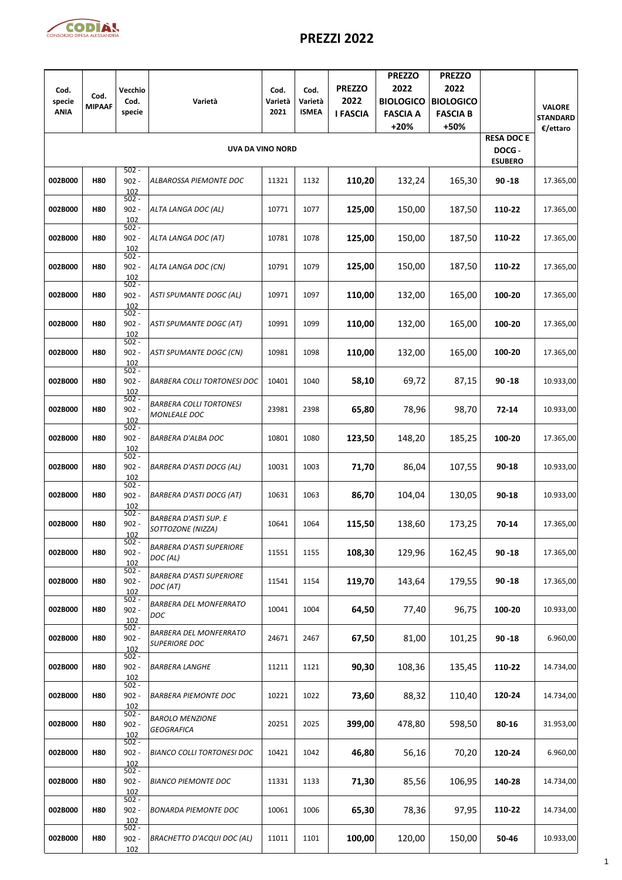

## **PREZZI 2022**

| Cod.                  | Cod.          | Vecchio                              |                                                       | Cod.            | Cod.                    | <b>PREZZO</b>           | <b>PREZZO</b><br>2022               | <b>PREZZO</b><br>2022               |                                               |                             |
|-----------------------|---------------|--------------------------------------|-------------------------------------------------------|-----------------|-------------------------|-------------------------|-------------------------------------|-------------------------------------|-----------------------------------------------|-----------------------------|
| specie<br><b>ANIA</b> | <b>MIPAAF</b> | Cod.<br>specie                       | Varietà                                               | Varietà<br>2021 | Varietà<br><b>ISMEA</b> | 2022<br><b>I FASCIA</b> | <b>BIOLOGICO</b><br><b>FASCIA A</b> | <b>BIOLOGICO</b><br><b>FASCIA B</b> |                                               | <b>VALORE</b>               |
|                       |               |                                      |                                                       |                 |                         |                         | $+20%$                              | +50%                                |                                               | <b>STANDARD</b><br>€/ettaro |
|                       |               |                                      | <b>UVA DA VINO NORD</b>                               |                 |                         |                         |                                     |                                     | <b>RESA DOC E</b><br>DOCG -<br><b>ESUBERO</b> |                             |
| 002B000               | <b>H80</b>    | $502 -$<br>$902 -$<br>102<br>$502 -$ | ALBAROSSA PIEMONTE DOC                                | 11321           | 1132                    | 110,20                  | 132,24                              | 165,30                              | $90 - 18$                                     | 17.365,00                   |
| 002B000               | <b>H80</b>    | $902 -$<br>102<br>$502 -$            | ALTA LANGA DOC (AL)                                   | 10771           | 1077                    | 125,00                  | 150,00                              | 187,50                              | 110-22                                        | 17.365,00                   |
| 002B000               | <b>H80</b>    | $902 -$<br>102<br>$502 -$            | ALTA LANGA DOC (AT)                                   | 10781           | 1078                    | 125,00                  | 150,00                              | 187,50                              | 110-22                                        | 17.365,00                   |
| 002B000               | <b>H80</b>    | $902 -$<br>102<br>$502 -$            | ALTA LANGA DOC (CN)                                   | 10791           | 1079                    | 125,00                  | 150,00                              | 187,50                              | 110-22                                        | 17.365,00                   |
| 002B000               | <b>H80</b>    | $902 -$<br>102<br>$502 -$            | <b>ASTI SPUMANTE DOGC (AL)</b>                        | 10971           | 1097                    | 110,00                  | 132,00                              | 165,00                              | 100-20                                        | 17.365,00                   |
| 002B000               | <b>H80</b>    | $902 -$<br>102<br>$502 -$            | <b>ASTI SPUMANTE DOGC (AT)</b>                        | 10991           | 1099                    | 110,00                  | 132,00                              | 165,00                              | 100-20                                        | 17.365,00                   |
| 002B000               | <b>H80</b>    | $902 -$<br>102<br>$502 -$            | <b>ASTI SPUMANTE DOGC (CN)</b>                        | 10981           | 1098                    | 110,00                  | 132,00                              | 165,00                              | 100-20                                        | 17.365,00                   |
| 002B000               | <b>H80</b>    | $902 -$<br>102<br>$502 -$            | <b>BARBERA COLLI TORTONESI DOC</b>                    | 10401           | 1040                    | 58,10                   | 69,72                               | 87,15                               | $90 - 18$                                     | 10.933,00                   |
| 002B000               | <b>H80</b>    | $902 -$<br>102<br>$502 -$            | <b>BARBERA COLLI TORTONESI</b><br>MONLEALE DOC        | 23981           | 2398                    | 65,80                   | 78,96                               | 98,70                               | $72 - 14$                                     | 10.933,00                   |
| 002B000               | <b>H80</b>    | $902 -$<br>102<br>$502 -$            | <b>BARBERA D'ALBA DOC</b>                             | 10801           | 1080                    | 123,50                  | 148,20                              | 185,25                              | 100-20                                        | 17.365,00                   |
| 002B000               | <b>H80</b>    | $902 -$<br>102<br>$502 -$            | <b>BARBERA D'ASTI DOCG (AL)</b>                       | 10031           | 1003                    | 71,70                   | 86,04                               | 107,55                              | 90-18                                         | 10.933,00                   |
| 002B000               | <b>H80</b>    | $902 -$<br>102<br>$502 -$            | <b>BARBERA D'ASTI DOCG (AT)</b>                       | 10631           | 1063                    | 86,70                   | 104,04                              | 130,05                              | 90-18                                         | 10.933,00                   |
| 002B000               | <b>H80</b>    | $902 -$<br>102<br>$502 -$            | <b>BARBERA D'ASTI SUP. E</b><br>SOTTOZONE (NIZZA)     | 10641           | 1064                    | 115,50                  | 138,60                              | 173,25                              | 70-14                                         | 17.365,00                   |
| 002B000               | <b>H80</b>    | $902 -$<br>102<br>$502 -$            | <b>BARBERA D'ASTI SUPERIORE</b><br>DOC(AL)            | 11551           | 1155                    | 108,30                  | 129,96                              | 162,45                              | $90 - 18$                                     | 17.365,00                   |
| 002B000               | <b>H80</b>    | $902 -$<br>102<br>$502 -$            | <b>BARBERA D'ASTI SUPERIORE</b><br>DOC(AT)            | 11541           | 1154                    | 119,70                  | 143,64                              | 179,55                              | $90 - 18$                                     | 17.365,00                   |
| 002B000               | <b>H80</b>    | $902 -$<br>102<br>$502 -$            | <b>BARBERA DEL MONFERRATO</b><br><b>DOC</b>           | 10041           | 1004                    | 64,50                   | 77,40                               | 96,75                               | 100-20                                        | 10.933,00                   |
| 002B000               | <b>H80</b>    | $902 -$<br>102<br>$502 -$            | <b>BARBERA DEL MONFERRATO</b><br><b>SUPERIORE DOC</b> | 24671           | 2467                    | 67,50                   | 81,00                               | 101,25                              | $90 - 18$                                     | 6.960,00                    |
| 002B000               | <b>H80</b>    | $902 -$<br>102<br>$502 -$            | <b>BARBERA LANGHE</b>                                 | 11211           | 1121                    | 90,30                   | 108,36                              | 135,45                              | 110-22                                        | 14.734,00                   |
| 002B000               | <b>H80</b>    | $902 -$<br>102<br>$502 -$            | <b>BARBERA PIEMONTE DOC</b>                           | 10221           | 1022                    | 73,60                   | 88,32                               | 110,40                              | 120-24                                        | 14.734,00                   |
| 002B000               | <b>H80</b>    | $902 -$<br>102<br>$502 -$            | <b>BAROLO MENZIONE</b><br><b>GEOGRAFICA</b>           | 20251           | 2025                    | 399,00                  | 478,80                              | 598,50                              | 80-16                                         | 31.953,00                   |
| 002B000               | <b>H80</b>    | $902 -$<br>102<br>$502 -$            | <b>BIANCO COLLI TORTONESI DOC</b>                     | 10421           | 1042                    | 46,80                   | 56,16                               | 70,20                               | 120-24                                        | 6.960,00                    |
| 002B000               | <b>H80</b>    | $902 -$<br>102<br>$502 -$            | <b>BIANCO PIEMONTE DOC</b>                            | 11331           | 1133                    | 71,30                   | 85,56                               | 106,95                              | 140-28                                        | 14.734,00                   |
| 002B000               | <b>H80</b>    | $902 -$<br>102                       | <b>BONARDA PIEMONTE DOC</b>                           | 10061           | 1006                    | 65,30                   | 78,36                               | 97,95                               | 110-22                                        | 14.734,00                   |
| 002B000               | <b>H80</b>    | $502 -$<br>$902 -$<br>102            | <b>BRACHETTO D'ACQUI DOC (AL)</b>                     | 11011           | 1101                    | 100,00                  | 120,00                              | 150,00                              | 50-46                                         | 10.933,00                   |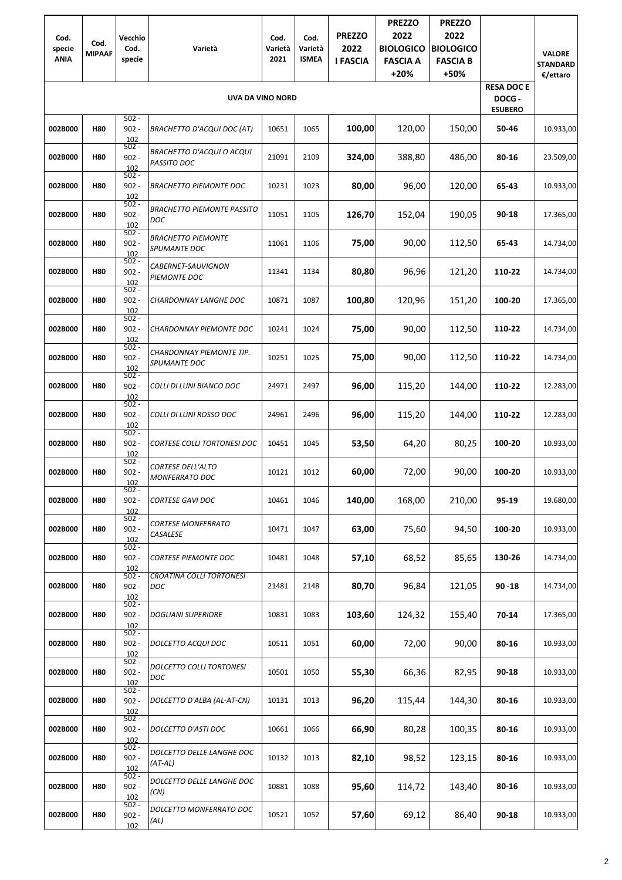| Cod.<br>specie<br><b>ANIA</b> | Cod.<br><b>MIPAAF</b> | Vecchio<br>Cod.<br>specie | Varietà                                           | Cod.<br>Varietà<br>2021 | Cod.<br>Varietà<br><b>ISMEA</b> | <b>PREZZO</b><br>2022<br><b>I FASCIA</b> | <b>PREZZO</b><br>2022<br><b>BIOLOGICO</b><br><b>FASCIA A</b><br>$+20%$ | <b>PREZZO</b><br>2022<br><b>BIOLOGICO</b><br><b>FASCIA B</b><br>+50% |                                              | <b>VALORE</b><br><b>STANDARD</b><br>€/ettaro |
|-------------------------------|-----------------------|---------------------------|---------------------------------------------------|-------------------------|---------------------------------|------------------------------------------|------------------------------------------------------------------------|----------------------------------------------------------------------|----------------------------------------------|----------------------------------------------|
|                               |                       |                           | <b>UVA DA VINO NORD</b>                           |                         |                                 |                                          |                                                                        |                                                                      | <b>RESA DOCE</b><br>DOCG -<br><b>ESUBERO</b> |                                              |
| 002B000                       | <b>H80</b>            | $502 -$<br>$902 -$<br>102 | <b>BRACHETTO D'ACQUI DOC (AT)</b>                 | 10651                   | 1065                            | 100,00                                   | 120,00                                                                 | 150,00                                                               | 50-46                                        | 10.933,00                                    |
| 002B000                       | <b>H80</b>            | $502 -$<br>$902 -$<br>102 | <b>BRACHETTO D'ACQUI O ACQUI</b><br>PASSITO DOC   | 21091                   | 2109                            | 324,00                                   | 388,80                                                                 | 486,00                                                               | 80-16                                        | 23.509,00                                    |
| 002B000                       | <b>H80</b>            | $502 -$<br>$902 -$<br>102 | <b>BRACHETTO PIEMONTE DOC</b>                     | 10231                   | 1023                            | 80,00                                    | 96,00                                                                  | 120,00                                                               | 65-43                                        | 10.933,00                                    |
| 002B000                       | <b>H80</b>            | $502 -$<br>$902 -$<br>102 | <b>BRACHETTO PIEMONTE PASSITO</b><br><b>DOC</b>   | 11051                   | 1105                            | 126,70                                   | 152,04                                                                 | 190,05                                                               | 90-18                                        | 17.365,00                                    |
| 002B000                       | <b>H80</b>            | $502 -$<br>$902 -$<br>102 | <b>BRACHETTO PIEMONTE</b><br>SPUMANTE DOC         | 11061                   | 1106                            | 75,00                                    | 90,00                                                                  | 112,50                                                               | 65-43                                        | 14.734,00                                    |
| 002B000                       | <b>H80</b>            | $502 -$<br>$902 -$<br>102 | CABERNET-SAUVIGNON<br>PIEMONTE DOC                | 11341                   | 1134                            | 80,80                                    | 96,96                                                                  | 121,20                                                               | 110-22                                       | 14.734,00                                    |
| 002B000                       | <b>H80</b>            | $502 -$<br>$902 -$<br>102 | <b>CHARDONNAY LANGHE DOC</b>                      | 10871                   | 1087                            | 100,80                                   | 120,96                                                                 | 151,20                                                               | 100-20                                       | 17.365,00                                    |
| 002B000                       | <b>H80</b>            | $502 -$<br>$902 -$<br>102 | <b>CHARDONNAY PIEMONTE DOC</b>                    | 10241                   | 1024                            | 75,00                                    | 90,00                                                                  | 112,50                                                               | 110-22                                       | 14.734,00                                    |
| 002B000                       | <b>H80</b>            | $502 -$<br>$902 -$<br>102 | CHARDONNAY PIEMONTE TIP.<br>SPUMANTE DOC          | 10251                   | 1025                            | 75,00                                    | 90,00                                                                  | 112,50                                                               | 110-22                                       | 14.734,00                                    |
| 002B000                       | <b>H80</b>            | $502 -$<br>$902 -$<br>102 | COLLI DI LUNI BIANCO DOC                          | 24971                   | 2497                            | 96,00                                    | 115,20                                                                 | 144,00                                                               | 110-22                                       | 12.283,00                                    |
| 002B000                       | <b>H80</b>            | $502 -$<br>$902 -$<br>102 | COLLI DI LUNI ROSSO DOC                           | 24961                   | 2496                            | 96,00                                    | 115,20                                                                 | 144,00                                                               | 110-22                                       | 12.283,00                                    |
| 002B000                       | <b>H80</b>            | $502 -$<br>$902 -$<br>102 | <b>CORTESE COLLI TORTONESI DOC</b>                | 10451                   | 1045                            | 53,50                                    | 64,20                                                                  | 80,25                                                                | 100-20                                       | 10.933,00                                    |
| 002B000                       | <b>H80</b>            | $502 -$<br>$902 -$<br>102 | <b>CORTESE DELL'ALTO</b><br><b>MONFERRATO DOC</b> | 10121                   | 1012                            | 60,00                                    | 72,00                                                                  | 90,00                                                                | 100-20                                       | 10.933,00                                    |
| 002B000                       | <b>H80</b>            | $502 -$<br>$902 -$<br>102 | <b>CORTESE GAVI DOC</b>                           | 10461                   | 1046                            | 140,00                                   | 168,00                                                                 | 210,00                                                               | 95-19                                        | 19.680,00                                    |
| 002B000                       | <b>H80</b>            | $502 -$<br>$902 -$<br>102 | <b>CORTESE MONFERRATO</b><br>CASALESE             | 10471                   | 1047                            | 63,00                                    | 75,60                                                                  | 94,50                                                                | 100-20                                       | 10.933,00                                    |
| 002B000                       | <b>H80</b>            | $502 -$<br>$902 -$<br>102 | <b>CORTESE PIEMONTE DOC</b>                       | 10481                   | 1048                            | 57,10                                    | 68,52                                                                  | 85,65                                                                | 130-26                                       | 14.734,00                                    |
| 002B000                       | <b>H80</b>            | $502 -$<br>$902 -$<br>102 | <b>CROATINA COLLI TORTONESI</b><br>DOC            | 21481                   | 2148                            | 80,70                                    | 96,84                                                                  | 121,05                                                               | $90 - 18$                                    | 14.734,00                                    |
| 002B000                       | <b>H80</b>            | $502 -$<br>$902 -$<br>102 | <b>DOGLIANI SUPERIORE</b>                         | 10831                   | 1083                            | 103,60                                   | 124,32                                                                 | 155,40                                                               | 70-14                                        | 17.365,00                                    |
| 002B000                       | <b>H80</b>            | $502 -$<br>$902 -$<br>102 | <b>DOLCETTO ACQUI DOC</b>                         | 10511                   | 1051                            | 60,00                                    | 72,00                                                                  | 90,00                                                                | 80-16                                        | 10.933,00                                    |
| 002B000                       | <b>H80</b>            | $502 -$<br>$902 -$<br>102 | DOLCETTO COLLI TORTONESI<br>DOC                   | 10501                   | 1050                            | 55,30                                    | 66,36                                                                  | 82,95                                                                | 90-18                                        | 10.933,00                                    |
| 002B000                       | <b>H80</b>            | $502 -$<br>$902 -$<br>102 | DOLCETTO D'ALBA (AL-AT-CN)                        | 10131                   | 1013                            | 96,20                                    | 115,44                                                                 | 144,30                                                               | 80-16                                        | 10.933,00                                    |
| 002B000                       | <b>H80</b>            | $502 -$<br>$902 -$<br>102 | <b>DOLCETTO D'ASTI DOC</b>                        | 10661                   | 1066                            | 66,90                                    | 80,28                                                                  | 100,35                                                               | 80-16                                        | 10.933,00                                    |
| 002B000                       | <b>H80</b>            | $502 -$<br>$902 -$<br>102 | DOLCETTO DELLE LANGHE DOC<br>$(AT-AL)$            | 10132                   | 1013                            | 82,10                                    | 98,52                                                                  | 123,15                                                               | 80-16                                        | 10.933,00                                    |
| 002B000                       | <b>H80</b>            | $502 -$<br>$902 -$<br>102 | DOLCETTO DELLE LANGHE DOC<br>(CN)                 | 10881                   | 1088                            | 95,60                                    | 114,72                                                                 | 143,40                                                               | 80-16                                        | 10.933,00                                    |
| 002B000                       | H80                   | $502 -$<br>$902 -$<br>102 | DOLCETTO MONFERRATO DOC<br>(AL)                   | 10521                   | 1052                            | 57,60                                    | 69,12                                                                  | 86,40                                                                | 90-18                                        | 10.933,00                                    |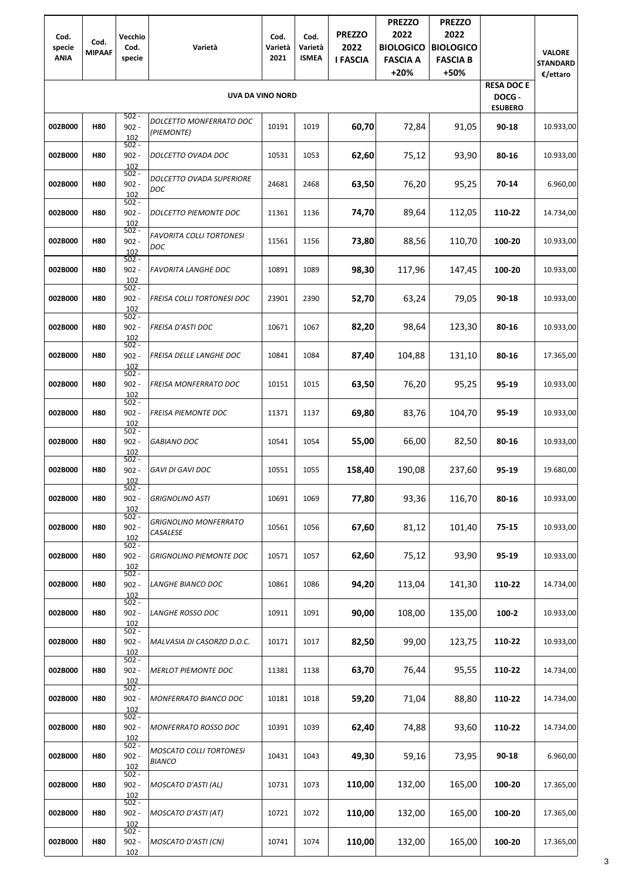| Cod.<br>specie<br><b>ANIA</b> | Cod.<br><b>MIPAAF</b> | Vecchio<br>Cod.<br>specie | Varietà                                         | Cod.<br>Varietà<br>2021 | Cod.<br>Varietà<br><b>ISMEA</b> | <b>PREZZO</b><br>2022<br><b>I FASCIA</b> | <b>PREZZO</b><br>2022<br><b>BIOLOGICO</b><br><b>FASCIA A</b><br>$+20%$ | <b>PREZZO</b><br>2022<br><b>BIOLOGICO</b><br><b>FASCIA B</b><br>+50% |                                               | <b>VALORE</b><br><b>STANDARD</b><br>€/ettaro |
|-------------------------------|-----------------------|---------------------------|-------------------------------------------------|-------------------------|---------------------------------|------------------------------------------|------------------------------------------------------------------------|----------------------------------------------------------------------|-----------------------------------------------|----------------------------------------------|
|                               |                       | $502 -$                   | <b>UVA DA VINO NORD</b>                         |                         |                                 |                                          |                                                                        |                                                                      | <b>RESA DOC E</b><br>DOCG -<br><b>ESUBERO</b> |                                              |
| 002B000                       | <b>H80</b>            | $902 -$<br>102<br>$502 -$ | DOLCETTO MONFERRATO DOC<br>(PIEMONTE)           | 10191                   | 1019                            | 60,70                                    | 72,84                                                                  | 91,05                                                                | 90-18                                         | 10.933,00                                    |
| 002B000                       | <b>H80</b>            | $902 -$<br>102<br>$502 -$ | DOLCETTO OVADA DOC                              | 10531                   | 1053                            | 62,60                                    | 75,12                                                                  | 93,90                                                                | 80-16                                         | 10.933,00                                    |
| 002B000                       | <b>H80</b>            | $902 -$<br>102            | DOLCETTO OVADA SUPERIORE<br>DOC                 | 24681                   | 2468                            | 63,50                                    | 76,20                                                                  | 95,25                                                                | $70-14$                                       | 6.960,00                                     |
| 002B000                       | <b>H80</b>            | $502 -$<br>$902 -$<br>102 | DOLCETTO PIEMONTE DOC                           | 11361                   | 1136                            | 74,70                                    | 89,64                                                                  | 112,05                                                               | 110-22                                        | 14.734,00                                    |
| 002B000                       | <b>H80</b>            | $502 -$<br>$902 -$<br>102 | <b>FAVORITA COLLI TORTONESI</b><br>DOC          | 11561                   | 1156                            | 73,80                                    | 88,56                                                                  | 110,70                                                               | 100-20                                        | 10.933,00                                    |
| 002B000                       | <b>H80</b>            | $502 -$<br>$902 -$<br>102 | <b>FAVORITA LANGHE DOC</b>                      | 10891                   | 1089                            | 98,30                                    | 117,96                                                                 | 147,45                                                               | 100-20                                        | 10.933,00                                    |
| 002B000                       | <b>H80</b>            | $502 -$<br>$902 -$<br>102 | FREISA COLLI TORTONESI DOC                      | 23901                   | 2390                            | 52,70                                    | 63,24                                                                  | 79,05                                                                | 90-18                                         | 10.933,00                                    |
| 002B000                       | <b>H80</b>            | $502 -$<br>$902 -$<br>102 | <b>FREISA D'ASTI DOC</b>                        | 10671                   | 1067                            | 82,20                                    | 98,64                                                                  | 123,30                                                               | 80-16                                         | 10.933,00                                    |
| 002B000                       | <b>H80</b>            | $502 -$<br>$902 -$<br>102 | FREISA DELLE LANGHE DOC                         | 10841                   | 1084                            | 87,40                                    | 104,88                                                                 | 131,10                                                               | 80-16                                         | 17.365,00                                    |
| 002B000                       | <b>H80</b>            | $502 -$<br>$902 -$<br>102 | FREISA MONFERRATO DOC                           | 10151                   | 1015                            | 63,50                                    | 76,20                                                                  | 95,25                                                                | 95-19                                         | 10.933,00                                    |
| 002B000                       | <b>H80</b>            | $502 -$<br>$902 -$<br>102 | FREISA PIEMONTE DOC                             | 11371                   | 1137                            | 69,80                                    | 83,76                                                                  | 104,70                                                               | 95-19                                         | 10.933,00                                    |
| 002B000                       | <b>H80</b>            | $502 -$<br>$902 -$<br>102 | <b>GABIANO DOC</b>                              | 10541                   | 1054                            | 55,00                                    | 66,00                                                                  | 82,50                                                                | 80-16                                         | 10.933,00                                    |
| 002B000                       | <b>H80</b>            | $502 -$<br>$902 -$<br>102 | <b>GAVI DI GAVI DOC</b>                         | 10551                   | 1055                            | 158,40                                   | 190,08                                                                 | 237,60                                                               | 95-19                                         | 19.680,00                                    |
| 002B000                       | <b>H80</b>            | $502 -$<br>$902 -$<br>102 | <b>GRIGNOLINO ASTI</b>                          | 10691                   | 1069                            | 77,80                                    | 93,36                                                                  | 116,70                                                               | 80-16                                         | 10.933,00                                    |
| 002B000                       | <b>H80</b>            | $502 -$<br>$902 -$<br>102 | <b>GRIGNOLINO MONFERRATO</b><br>CASALESE        | 10561                   | 1056                            | 67,60                                    | 81,12                                                                  | 101,40                                                               | 75-15                                         | 10.933,00                                    |
| 002B000                       | <b>H80</b>            | $502 -$<br>$902 -$<br>102 | <b>GRIGNOLINO PIEMONTE DOC</b>                  | 10571                   | 1057                            | 62,60                                    | 75,12                                                                  | 93,90                                                                | 95-19                                         | 10.933,00                                    |
| 002B000                       | <b>H80</b>            | $502 -$<br>$902 -$<br>102 | LANGHE BIANCO DOC                               | 10861                   | 1086                            | 94,20                                    | 113,04                                                                 | 141,30                                                               | 110-22                                        | 14.734,00                                    |
| 002B000                       | <b>H80</b>            | $502 -$<br>$902 -$<br>102 | LANGHE ROSSO DOC                                | 10911                   | 1091                            | 90,00                                    | 108,00                                                                 | 135,00                                                               | 100-2                                         | 10.933,00                                    |
| 002B000                       | <b>H80</b>            | $502 -$<br>$902 -$<br>102 | MALVASIA DI CASORZO D.O.C.                      | 10171                   | 1017                            | 82,50                                    | 99,00                                                                  | 123,75                                                               | 110-22                                        | 10.933,00                                    |
| 002B000                       | <b>H80</b>            | $502 -$<br>$902 -$<br>102 | <b>MERLOT PIEMONTE DOC</b>                      | 11381                   | 1138                            | 63,70                                    | 76,44                                                                  | 95,55                                                                | 110-22                                        | 14.734,00                                    |
| 002B000                       | <b>H80</b>            | $502 -$<br>$902 -$<br>102 | MONFERRATO BIANCO DOC                           | 10181                   | 1018                            | 59,20                                    | 71,04                                                                  | 88,80                                                                | 110-22                                        | 14.734,00                                    |
| 002B000                       | <b>H80</b>            | $502 -$<br>$902 -$<br>102 | <b>MONFERRATO ROSSO DOC</b>                     | 10391                   | 1039                            | 62,40                                    | 74,88                                                                  | 93,60                                                                | 110-22                                        | 14.734,00                                    |
| 002B000                       | <b>H80</b>            | 502 -<br>$902 -$<br>102   | <b>MOSCATO COLLI TORTONESI</b><br><b>BIANCO</b> | 10431                   | 1043                            | 49,30                                    | 59,16                                                                  | 73,95                                                                | 90-18                                         | 6.960,00                                     |
| 002B000                       | <b>H80</b>            | $502 -$<br>$902 -$<br>102 | <b>MOSCATO D'ASTI (AL)</b>                      | 10731                   | 1073                            | 110,00                                   | 132,00                                                                 | 165,00                                                               | 100-20                                        | 17.365,00                                    |
| 002B000                       | <b>H80</b>            | $502 -$<br>$902 -$<br>102 | MOSCATO D'ASTI (AT)                             | 10721                   | 1072                            | 110,00                                   | 132,00                                                                 | 165,00                                                               | 100-20                                        | 17.365,00                                    |
| 002B000                       | <b>H80</b>            | $502 -$<br>$902 -$<br>102 | <b>MOSCATO D'ASTI (CN)</b>                      | 10741                   | 1074                            | 110,00                                   | 132,00                                                                 | 165,00                                                               | 100-20                                        | 17.365,00                                    |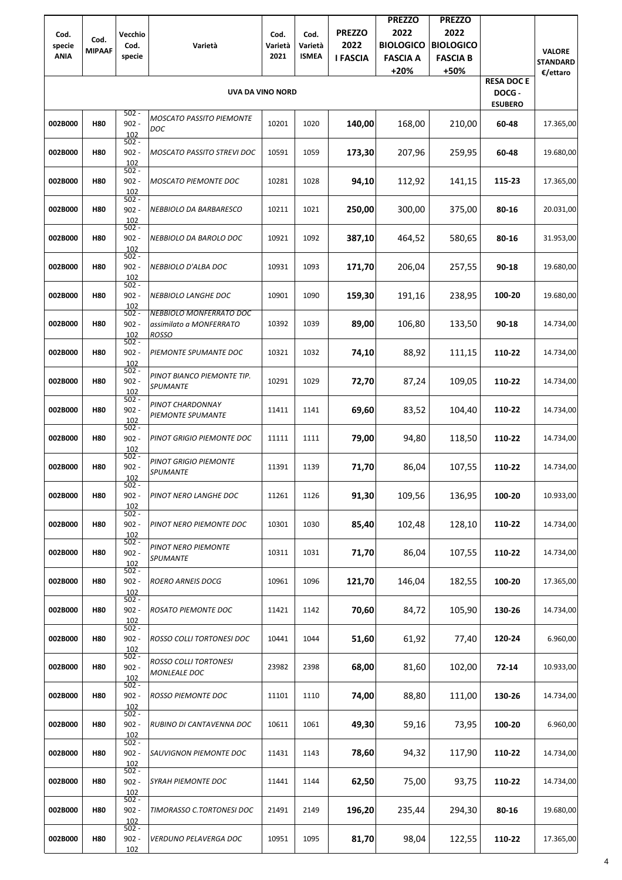| Cod.<br>specie | Cod.          | Vecchio<br>Cod.                      | Varietà                                                      | Cod.<br>Varietà | Cod.<br>Varietà | <b>PREZZO</b><br>2022 | <b>PREZZO</b><br>2022<br><b>BIOLOGICO</b> | <b>PREZZO</b><br>2022<br><b>BIOLOGICO</b> |                          |                                  |
|----------------|---------------|--------------------------------------|--------------------------------------------------------------|-----------------|-----------------|-----------------------|-------------------------------------------|-------------------------------------------|--------------------------|----------------------------------|
| <b>ANIA</b>    | <b>MIPAAF</b> | specie                               |                                                              | 2021            | <b>ISMEA</b>    | <b>I FASCIA</b>       | <b>FASCIA A</b>                           | <b>FASCIA B</b>                           |                          | <b>VALORE</b><br><b>STANDARD</b> |
|                |               |                                      |                                                              |                 |                 |                       | $+20%$                                    | +50%                                      | <b>RESA DOCE</b>         | €/ettaro                         |
|                |               |                                      | <b>UVA DA VINO NORD</b>                                      |                 |                 |                       |                                           |                                           | DOCG -<br><b>ESUBERO</b> |                                  |
| 002B000        | <b>H80</b>    | $502 -$<br>$902 -$<br>102<br>$502 -$ | <b>MOSCATO PASSITO PIEMONTE</b><br>DOC                       | 10201           | 1020            | 140,00                | 168,00                                    | 210,00                                    | 60-48                    | 17.365,00                        |
| 002B000        | <b>H80</b>    | $902 -$<br>102<br>$502 -$            | <b>MOSCATO PASSITO STREVI DOC</b>                            | 10591           | 1059            | 173,30                | 207,96                                    | 259,95                                    | 60-48                    | 19.680,00                        |
| 002B000        | <b>H80</b>    | $902 -$<br>102<br>$502 -$            | <b>MOSCATO PIEMONTE DOC</b>                                  | 10281           | 1028            | 94,10                 | 112,92                                    | 141,15                                    | 115-23                   | 17.365,00                        |
| 002B000        | <b>H80</b>    | $902 -$<br>102<br>$502 -$            | NEBBIOLO DA BARBARESCO                                       | 10211           | 1021            | 250,00                | 300,00                                    | 375,00                                    | 80-16                    | 20.031,00                        |
| 002B000        | <b>H80</b>    | $902 -$<br>102<br>$502 -$            | <b>NEBBIOLO DA BAROLO DOC</b>                                | 10921           | 1092            | 387,10                | 464,52                                    | 580,65                                    | 80-16                    | 31.953,00                        |
| 002B000        | <b>H80</b>    | $902 -$<br>102<br>$502 -$            | NEBBIOLO D'ALBA DOC                                          | 10931           | 1093            | 171,70                | 206,04                                    | 257,55                                    | 90-18                    | 19.680,00                        |
| 002B000        | <b>H80</b>    | $902 -$<br>102<br>$502 -$            | <b>NEBBIOLO LANGHE DOC</b><br><b>NEBBIOLO MONFERRATO DOC</b> | 10901           | 1090            | 159,30                | 191,16                                    | 238,95                                    | 100-20                   | 19.680,00                        |
| 002B000        | <b>H80</b>    | $902 -$<br>102<br>$502 -$            | assimilato a MONFERRATO<br><b>ROSSO</b>                      | 10392           | 1039            | 89,00                 | 106,80                                    | 133,50                                    | 90-18                    | 14.734,00                        |
| 002B000        | <b>H80</b>    | $902 -$<br>102<br>$502 -$            | PIEMONTE SPUMANTE DOC                                        | 10321           | 1032            | 74,10                 | 88,92                                     | 111,15                                    | 110-22                   | 14.734,00                        |
| 002B000        | <b>H80</b>    | $902 -$<br>102<br>$502 -$            | PINOT BIANCO PIEMONTE TIP.<br><b>SPUMANTE</b>                | 10291           | 1029            | 72,70                 | 87,24                                     | 109,05                                    | 110-22                   | 14.734,00                        |
| 002B000        | <b>H80</b>    | $902 -$<br>102<br>$502 -$            | PINOT CHARDONNAY<br>PIEMONTE SPUMANTE                        | 11411           | 1141            | 69,60                 | 83,52                                     | 104,40                                    | 110-22                   | 14.734,00                        |
| 002B000        | <b>H80</b>    | $902 -$<br>102<br>$502 -$            | PINOT GRIGIO PIEMONTE DOC                                    | 11111           | 1111            | 79,00                 | 94,80                                     | 118,50                                    | 110-22                   | 14.734,00                        |
| 002B000        | <b>H80</b>    | $902 -$<br>102<br>$502 -$            | <b>PINOT GRIGIO PIEMONTE</b><br><b>SPUMANTE</b>              | 11391           | 1139            | 71,70                 | 86,04                                     | 107,55                                    | 110-22                   | 14.734,00                        |
| 002B000        | <b>H80</b>    | $902 -$<br>102<br>$502 -$            | PINOT NERO LANGHE DOC                                        | 11261           | 1126            | 91,30                 | 109,56                                    | 136,95                                    | 100-20                   | 10.933,00                        |
| 002B000        | <b>H80</b>    | $902 -$<br>102<br>$502 -$            | PINOT NERO PIEMONTE DOC                                      | 10301           | 1030            | 85,40                 | 102,48                                    | 128,10                                    | 110-22                   | 14.734,00                        |
| 002B000        | <b>H80</b>    | $902 -$<br>102<br>$502 -$            | PINOT NERO PIEMONTE<br><b>SPUMANTE</b>                       | 10311           | 1031            | 71,70                 | 86,04                                     | 107,55                                    | 110-22                   | 14.734,00                        |
| 002B000        | <b>H80</b>    | $902 -$<br>102<br>$502 -$            | <b>ROERO ARNEIS DOCG</b>                                     | 10961           | 1096            | 121,70                | 146,04                                    | 182,55                                    | 100-20                   | 17.365,00                        |
| 002B000        | <b>H80</b>    | $902 -$<br>102<br>$502 -$            | ROSATO PIEMONTE DOC                                          | 11421           | 1142            | 70,60                 | 84,72                                     | 105,90                                    | 130-26                   | 14.734,00                        |
| 002B000        | <b>H80</b>    | $902 -$<br>102<br>$502 -$            | ROSSO COLLI TORTONESI DOC                                    | 10441           | 1044            | 51,60                 | 61,92                                     | 77,40                                     | 120-24                   | 6.960,00                         |
| 002B000        | <b>H80</b>    | $902 -$<br>102<br>$502 -$            | <b>ROSSO COLLI TORTONESI</b><br>MONLEALE DOC                 | 23982           | 2398            | 68,00                 | 81,60                                     | 102,00                                    | 72-14                    | 10.933,00                        |
| 002B000        | <b>H80</b>    | $902 -$<br>102<br>$502 -$            | <b>ROSSO PIEMONTE DOC</b>                                    | 11101           | 1110            | 74,00                 | 88,80                                     | 111,00                                    | 130-26                   | 14.734,00                        |
| 002B000        | <b>H80</b>    | $902 -$<br>102                       | RUBINO DI CANTAVENNA DOC                                     | 10611           | 1061            | 49,30                 | 59,16                                     | 73,95                                     | 100-20                   | 6.960,00                         |
| 002B000        | <b>H80</b>    | $502 -$<br>$902 -$<br>102            | <b>SAUVIGNON PIEMONTE DOC</b>                                | 11431           | 1143            | 78,60                 | 94,32                                     | 117,90                                    | 110-22                   | 14.734,00                        |
| 002B000        | <b>H80</b>    | $502 -$<br>$902 -$<br>102            | SYRAH PIEMONTE DOC                                           | 11441           | 1144            | 62,50                 | 75,00                                     | 93,75                                     | 110-22                   | 14.734,00                        |
| 002B000        | <b>H80</b>    | $502 -$<br>$902 -$<br>102            | TIMORASSO C.TORTONESI DOC                                    | 21491           | 2149            | 196,20                | 235,44                                    | 294,30                                    | 80-16                    | 19.680,00                        |
| 002B000        | <b>H80</b>    | $502 -$<br>$902 -$<br>102            | VERDUNO PELAVERGA DOC                                        | 10951           | 1095            | 81,70                 | 98,04                                     | 122,55                                    | 110-22                   | 17.365,00                        |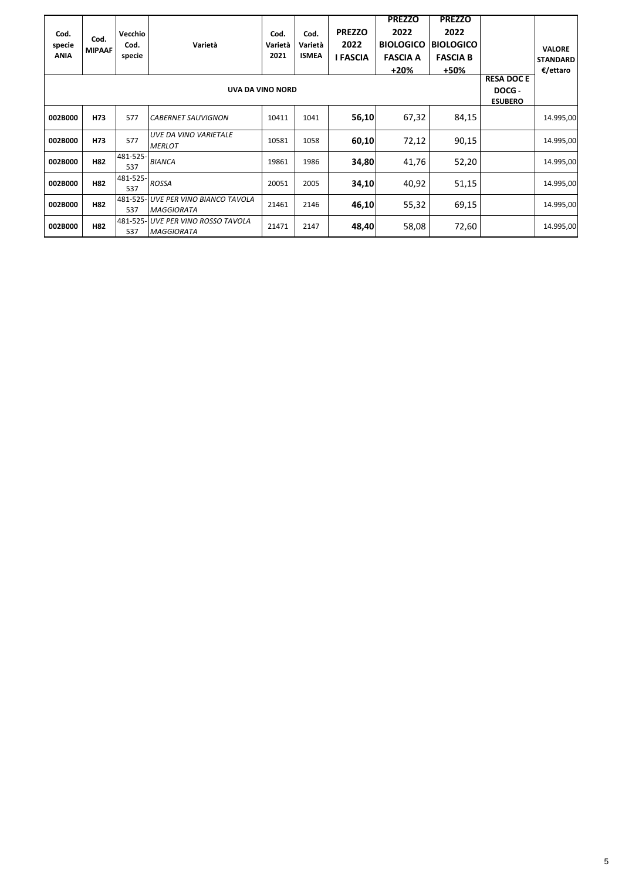| Cod.<br>specie<br><b>ANIA</b> | Cod.<br><b>MIPAAF</b> | Vecchio<br>Cod.<br>specie | Varietà                                         | Cod.<br>Varietà<br>2021 | Cod.<br>Varietà<br><b>ISMEA</b> | <b>PREZZO</b><br>2022<br><b>I FASCIA</b> | <b>PREZZO</b><br>2022<br><b>BIOLOGICO</b><br><b>FASCIA A</b> | <b>PREZZO</b><br>2022<br><b>BIOLOGICO</b><br><b>FASCIA B</b> |                                               | <b>VALORE</b><br><b>STANDARD</b> |
|-------------------------------|-----------------------|---------------------------|-------------------------------------------------|-------------------------|---------------------------------|------------------------------------------|--------------------------------------------------------------|--------------------------------------------------------------|-----------------------------------------------|----------------------------------|
|                               |                       |                           | <b>UVA DA VINO NORD</b>                         |                         |                                 |                                          | $+20%$                                                       | +50%                                                         | <b>RESA DOC E</b><br>DOCG -<br><b>ESUBERO</b> | €/ettaro                         |
| 002B000                       | H73                   | 577                       | <b>CABERNET SAUVIGNON</b>                       | 10411                   | 1041                            | 56,10                                    | 67,32                                                        | 84,15                                                        |                                               | 14.995,00                        |
| 002B000                       | H73                   | 577                       | UVE DA VINO VARIETALE<br><b>MERLOT</b>          | 10581                   | 1058                            | 60,10                                    | 72,12                                                        | 90,15                                                        |                                               | 14.995,00                        |
| 002B000                       | H82                   | 481-525-<br>537           | <b>BIANCA</b>                                   | 19861                   | 1986                            | 34,80                                    | 41,76                                                        | 52,20                                                        |                                               | 14.995,00                        |
| 002B000                       | H82                   | 481-525-<br>537           | <b>ROSSA</b>                                    | 20051                   | 2005                            | 34,10                                    | 40,92                                                        | 51,15                                                        |                                               | 14.995,00                        |
| 002B000                       | <b>H82</b>            | 481-525<br>537            | UVE PER VINO BIANCO TAVOLA<br><b>MAGGIORATA</b> | 21461                   | 2146                            | 46,10                                    | 55,32                                                        | 69,15                                                        |                                               | 14.995,00                        |
| 002B000                       | H82                   | 481-525-<br>537           | UVE PER VINO ROSSO TAVOLA<br><b>MAGGIORATA</b>  | 21471                   | 2147                            | 48,40                                    | 58,08                                                        | 72,60                                                        |                                               | 14.995,00                        |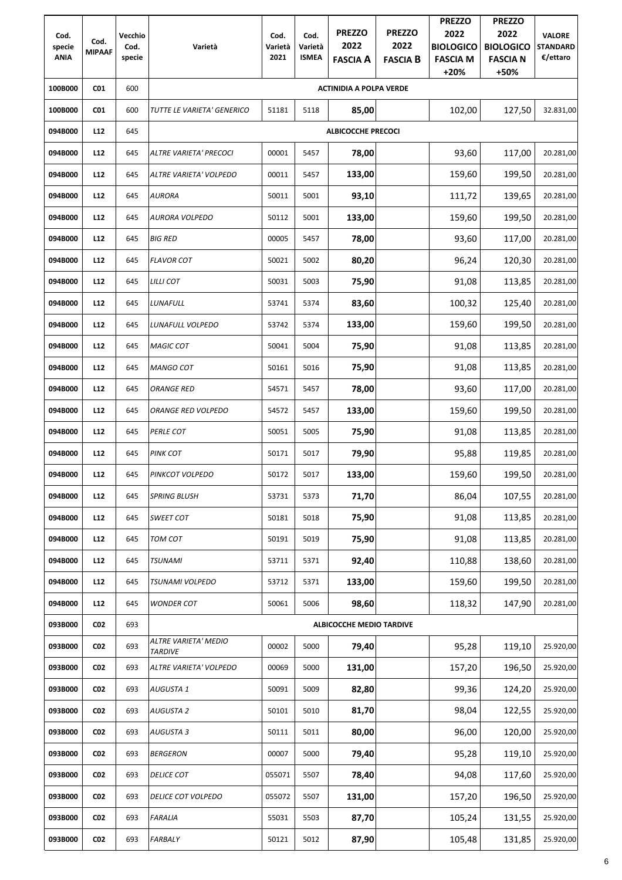|                       |                 |                |                                        |                 |                         |                                 |                         | <b>PREZZO</b>                       | <b>PREZZO</b>                       |                             |
|-----------------------|-----------------|----------------|----------------------------------------|-----------------|-------------------------|---------------------------------|-------------------------|-------------------------------------|-------------------------------------|-----------------------------|
| Cod.                  | Cod.            | Vecchio        |                                        | Cod.            | Cod.                    | <b>PREZZO</b>                   | <b>PREZZO</b>           | 2022                                | 2022                                | <b>VALORE</b>               |
| specie<br><b>ANIA</b> | <b>MIPAAF</b>   | Cod.<br>specie | Varietà                                | Varietà<br>2021 | Varietà<br><b>ISMEA</b> | 2022<br><b>FASCIA A</b>         | 2022<br><b>FASCIA B</b> | <b>BIOLOGICO</b><br><b>FASCIA M</b> | <b>BIOLOGICO</b><br><b>FASCIA N</b> | <b>STANDARD</b><br>€/ettaro |
|                       |                 |                |                                        |                 |                         |                                 |                         | $+20%$                              | +50%                                |                             |
| 100B000               | CO <sub>1</sub> | 600            |                                        |                 |                         | <b>ACTINIDIA A POLPA VERDE</b>  |                         |                                     |                                     |                             |
| 100B000               | CO <sub>1</sub> | 600            | TUTTE LE VARIETA' GENERICO             | 51181           | 5118                    | 85,00                           |                         | 102,00                              | 127,50                              | 32.831,00                   |
| 094B000               | L12             | 645            |                                        |                 |                         | <b>ALBICOCCHE PRECOCI</b>       |                         |                                     |                                     |                             |
| 094B000               | L12             | 645            | ALTRE VARIETA' PRECOCI                 | 00001           | 5457                    | 78,00                           |                         | 93,60                               | 117,00                              | 20.281,00                   |
| 094B000               | L12             | 645            | ALTRE VARIETA' VOLPEDO                 | 00011           | 5457                    | 133,00                          |                         | 159,60                              | 199,50                              | 20.281,00                   |
| 094B000               | L12             | 645            | <b>AURORA</b>                          | 50011           | 5001                    | 93,10                           |                         | 111,72                              | 139,65                              | 20.281,00                   |
| 094B000               | L12             | 645            | <b>AURORA VOLPEDO</b>                  | 50112           | 5001                    | 133,00                          |                         | 159,60                              | 199,50                              | 20.281,00                   |
| 094B000               | L12             | 645            | <b>BIG RED</b>                         | 00005           | 5457                    | 78,00                           |                         | 93,60                               | 117,00                              | 20.281,00                   |
| 094B000               | L12             | 645            | <b>FLAVOR COT</b>                      | 50021           | 5002                    | 80,20                           |                         | 96,24                               | 120,30                              | 20.281,00                   |
| 094B000               | L12             | 645            | <b>LILLI COT</b>                       | 50031           | 5003                    | 75,90                           |                         | 91,08                               | 113,85                              | 20.281,00                   |
| 094B000               | L12             | 645            | LUNAFULL                               | 53741           | 5374                    | 83,60                           |                         | 100,32                              | 125,40                              | 20.281,00                   |
| 094B000               | L12             | 645            | LUNAFULL VOLPEDO                       | 53742           | 5374                    | 133,00                          |                         | 159,60                              | 199,50                              | 20.281,00                   |
| 094B000               | L12             | 645            | <b>MAGIC COT</b>                       | 50041           | 5004                    | 75,90                           |                         | 91,08                               | 113,85                              | 20.281,00                   |
| 094B000               | L12             | 645            | MANGO COT                              | 50161           | 5016                    | 75,90                           |                         | 91,08                               | 113,85                              | 20.281,00                   |
| 094B000               | L12             | 645            | <b>ORANGE RED</b>                      | 54571           | 5457                    | 78,00                           |                         | 93,60                               | 117,00                              | 20.281,00                   |
| 094B000               | L12             | 645            | ORANGE RED VOLPEDO                     | 54572           | 5457                    | 133,00                          |                         | 159,60                              | 199,50                              | 20.281,00                   |
| 094B000               | L12             | 645            | PERLE COT                              | 50051           | 5005                    | 75,90                           |                         | 91,08                               | 113,85                              | 20.281,00                   |
| 094B000               | L12             | 645            | <b>PINK COT</b>                        | 50171           | 5017                    | 79,90                           |                         | 95,88                               | 119,85                              | 20.281,00                   |
| 094B000               | L12             | 645            | PINKCOT VOLPEDO                        | 50172           | 5017                    | 133,00                          |                         | 159,60                              | 199,50                              | 20.281,00                   |
| 094B000               | L12             | 645            | <b>SPRING BLUSH</b>                    | 53731           | 5373                    | 71,70                           |                         | 86,04                               | 107,55                              | 20.281,00                   |
| 094B000               | L12             | 645            | SWEET COT                              | 50181           | 5018                    | 75,90                           |                         | 91,08                               | 113,85                              | 20.281,00                   |
| 094B000               | L12             | 645            | TOM COT                                | 50191           | 5019                    | 75,90                           |                         | 91,08                               | 113,85                              | 20.281,00                   |
| 094B000               | L12             | 645            | <b>TSUNAMI</b>                         | 53711           | 5371                    | 92,40                           |                         | 110,88                              | 138,60                              | 20.281,00                   |
| 094B000               | L12             | 645            | <b>TSUNAMI VOLPEDO</b>                 | 53712           | 5371                    | 133,00                          |                         | 159,60                              | 199,50                              | 20.281,00                   |
| 094B000               | L12             | 645            | <b>WONDER COT</b>                      | 50061           | 5006                    | 98,60                           |                         | 118,32                              | 147,90                              | 20.281,00                   |
| 093B000               | CO <sub>2</sub> | 693            |                                        |                 |                         | <b>ALBICOCCHE MEDIO TARDIVE</b> |                         |                                     |                                     |                             |
| 093B000               | CO <sub>2</sub> | 693            | ALTRE VARIETA' MEDIO<br><b>TARDIVE</b> | 00002           | 5000                    | 79,40                           |                         | 95,28                               | 119,10                              | 25.920,00                   |
| 093B000               | CO <sub>2</sub> | 693            | ALTRE VARIETA' VOLPEDO                 | 00069           | 5000                    | 131,00                          |                         | 157,20                              | 196,50                              | 25.920,00                   |
| 093B000               | CO <sub>2</sub> | 693            | <b>AUGUSTA1</b>                        | 50091           | 5009                    | 82,80                           |                         | 99,36                               | 124,20                              | 25.920,00                   |
| 093B000               | CO <sub>2</sub> | 693            | <b>AUGUSTA 2</b>                       | 50101           | 5010                    | 81,70                           |                         | 98,04                               | 122,55                              | 25.920,00                   |
| 093B000               | CO <sub>2</sub> | 693            | <b>AUGUSTA 3</b>                       | 50111           | 5011                    | 80,00                           |                         | 96,00                               | 120,00                              | 25.920,00                   |
| 093B000               | CO <sub>2</sub> | 693            | <b>BERGERON</b>                        | 00007           | 5000                    | 79,40                           |                         | 95,28                               | 119,10                              | 25.920,00                   |
| 093B000               | CO <sub>2</sub> | 693            | <b>DELICE COT</b>                      | 055071          | 5507                    | 78,40                           |                         | 94,08                               | 117,60                              | 25.920,00                   |
| 093B000               | CO <sub>2</sub> | 693            | DELICE COT VOLPEDO                     | 055072          | 5507                    | 131,00                          |                         | 157,20                              | 196,50                              | 25.920,00                   |
| 093B000               | CO <sub>2</sub> | 693            | <b>FARALIA</b>                         | 55031           | 5503                    | 87,70                           |                         | 105,24                              | 131,55                              | 25.920,00                   |
| 093B000               | CO <sub>2</sub> | 693            | FARBALY                                | 50121           | 5012                    | 87,90                           |                         | 105,48                              | 131,85                              | 25.920,00                   |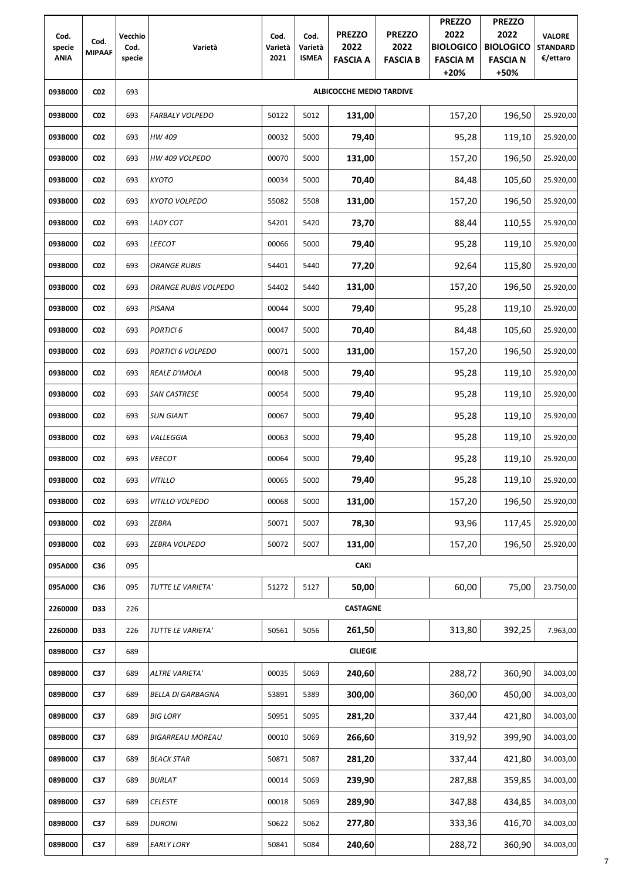| Cod.                  | Cod.            | Vecchio        |                             | Cod.            | Cod.                    | <b>PREZZO</b>                   | <b>PREZZO</b>           | <b>PREZZO</b><br>2022                         | <b>PREZZO</b><br>2022                       | <b>VALORE</b>               |
|-----------------------|-----------------|----------------|-----------------------------|-----------------|-------------------------|---------------------------------|-------------------------|-----------------------------------------------|---------------------------------------------|-----------------------------|
| specie<br><b>ANIA</b> | <b>MIPAAF</b>   | Cod.<br>specie | Varietà                     | Varietà<br>2021 | Varietà<br><b>ISMEA</b> | 2022<br><b>FASCIA A</b>         | 2022<br><b>FASCIA B</b> | <b>BIOLOGICO</b><br><b>FASCIA M</b><br>$+20%$ | <b>BIOLOGICO</b><br><b>FASCIA N</b><br>+50% | <b>STANDARD</b><br>€/ettaro |
| 093B000               | CO <sub>2</sub> | 693            |                             |                 |                         | <b>ALBICOCCHE MEDIO TARDIVE</b> |                         |                                               |                                             |                             |
| 093B000               | CO <sub>2</sub> | 693            | <b>FARBALY VOLPEDO</b>      | 50122           | 5012                    | 131,00                          |                         | 157,20                                        | 196,50                                      | 25.920,00                   |
| 093B000               | CO <sub>2</sub> | 693            | HW 409                      | 00032           | 5000                    | 79,40                           |                         | 95,28                                         | 119,10                                      | 25.920,00                   |
| 093B000               | CO <sub>2</sub> | 693            | HW 409 VOLPEDO              | 00070           | 5000                    | 131,00                          |                         | 157,20                                        | 196,50                                      | 25.920,00                   |
| 093B000               | CO <sub>2</sub> | 693            | <b>KYOTO</b>                | 00034           | 5000                    | 70,40                           |                         | 84,48                                         | 105,60                                      | 25.920,00                   |
| 093B000               | CO <sub>2</sub> | 693            | <b>KYOTO VOLPEDO</b>        | 55082           | 5508                    | 131,00                          |                         | 157,20                                        | 196,50                                      | 25.920,00                   |
| 093B000               | CO <sub>2</sub> | 693            | LADY COT                    | 54201           | 5420                    | 73,70                           |                         | 88,44                                         | 110,55                                      | 25.920,00                   |
| 093B000               | <b>CO2</b>      | 693            | <b>LEECOT</b>               | 00066           | 5000                    | 79,40                           |                         | 95,28                                         | 119,10                                      | 25.920,00                   |
| 093B000               | <b>CO2</b>      | 693            | <b>ORANGE RUBIS</b>         | 54401           | 5440                    | 77,20                           |                         | 92,64                                         | 115,80                                      | 25.920,00                   |
| 093B000               | CO <sub>2</sub> | 693            | <b>ORANGE RUBIS VOLPEDO</b> | 54402           | 5440                    | 131,00                          |                         | 157,20                                        | 196,50                                      | 25.920,00                   |
| 093B000               | <b>CO2</b>      | 693            | PISANA                      | 00044           | 5000                    | 79,40                           |                         | 95,28                                         | 119,10                                      | 25.920,00                   |
| 093B000               | CO <sub>2</sub> | 693            | <b>PORTICI 6</b>            | 00047           | 5000                    | 70,40                           |                         | 84,48                                         | 105,60                                      | 25.920,00                   |
| 093B000               | CO <sub>2</sub> | 693            | PORTICI 6 VOLPEDO           | 00071           | 5000                    | 131,00                          |                         | 157,20                                        | 196,50                                      | 25.920,00                   |
| 093B000               | CO <sub>2</sub> | 693            | REALE D'IMOLA               | 00048           | 5000                    | 79,40                           |                         | 95,28                                         | 119,10                                      | 25.920,00                   |
| 093B000               | CO <sub>2</sub> | 693            | <b>SAN CASTRESE</b>         | 00054           | 5000                    | 79,40                           |                         | 95,28                                         | 119,10                                      | 25.920,00                   |
| 093B000               | CO <sub>2</sub> | 693            | <b>SUN GIANT</b>            | 00067           | 5000                    | 79,40                           |                         | 95,28                                         | 119,10                                      | 25.920,00                   |
| 093B000               | CO <sub>2</sub> | 693            | VALLEGGIA                   | 00063           | 5000                    | 79,40                           |                         | 95,28                                         | 119,10                                      | 25.920,00                   |
| 093B000               | <b>CO2</b>      | 693            | <b>VEECOT</b>               | 00064           | 5000                    | 79,40                           |                         | 95,28                                         | 119,10                                      | 25.920,00                   |
| 093B000               | CO <sub>2</sub> | 693            | <b>VITILLO</b>              | 00065           | 5000                    | 79,40                           |                         | 95,28                                         | 119,10                                      | 25.920,00                   |
| 093B000               | CO <sub>2</sub> | 693            | VITILLO VOLPEDO             | 00068           | 5000                    | 131,00                          |                         | 157,20                                        | 196,50                                      | 25.920,00                   |
| 093B000               | <b>CO2</b>      | 693            | ZEBRA                       | 50071           | 5007                    | 78,30                           |                         | 93,96                                         | 117,45                                      | 25.920,00                   |
| 093B000               | <b>CO2</b>      | 693            | ZEBRA VOLPEDO               | 50072           | 5007                    | 131,00                          |                         | 157,20                                        | 196,50                                      | 25.920,00                   |
| 095A000               | C36             | 095            |                             |                 |                         | <b>CAKI</b>                     |                         |                                               |                                             |                             |
| 095A000               | C36             | 095            | TUTTE LE VARIETA'           | 51272           | 5127                    | 50,00                           |                         | 60,00                                         | 75,00                                       | 23.750,00                   |
| 2260000               | D33             | 226            |                             |                 |                         | <b>CASTAGNE</b>                 |                         |                                               |                                             |                             |
| 2260000               | D33             | 226            | TUTTE LE VARIETA'           | 50561           | 5056                    | 261,50                          |                         | 313,80                                        | 392,25                                      | 7.963,00                    |
| 089B000               | C37             | 689            |                             |                 |                         | <b>CILIEGIE</b>                 |                         |                                               |                                             |                             |
| 089B000               | C37             | 689            | <b>ALTRE VARIETA'</b>       | 00035           | 5069                    | 240,60                          |                         | 288,72                                        | 360,90                                      | 34.003,00                   |
| 089B000               | C37             | 689            | <b>BELLA DI GARBAGNA</b>    | 53891           | 5389                    | 300,00                          |                         | 360,00                                        | 450,00                                      | 34.003,00                   |
| 089B000               | C37             | 689            | <b>BIG LORY</b>             | 50951           | 5095                    | 281,20                          |                         | 337,44                                        | 421,80                                      | 34.003,00                   |
| 089B000               | C37             | 689            | <b>BIGARREAU MOREAU</b>     | 00010           | 5069                    | 266,60                          |                         | 319,92                                        | 399,90                                      | 34.003,00                   |
| 089B000               | C37             | 689            | <b>BLACK STAR</b>           | 50871           | 5087                    | 281,20                          |                         | 337,44                                        | 421,80                                      | 34.003,00                   |
| 089B000               | C37             | 689            | <b>BURLAT</b>               | 00014           | 5069                    | 239,90                          |                         | 287,88                                        | 359,85                                      | 34.003,00                   |
| 089B000               | C37             | 689            | <b>CELESTE</b>              | 00018           | 5069                    | 289,90                          |                         | 347,88                                        | 434,85                                      | 34.003,00                   |
| 089B000               | C37             | 689            | <b>DURONI</b>               | 50622           | 5062                    | 277,80                          |                         | 333,36                                        | 416,70                                      | 34.003,00                   |
| 089B000               | C37             | 689            | <b>EARLY LORY</b>           | 50841           | 5084                    | 240,60                          |                         | 288,72                                        | 360,90                                      | 34.003,00                   |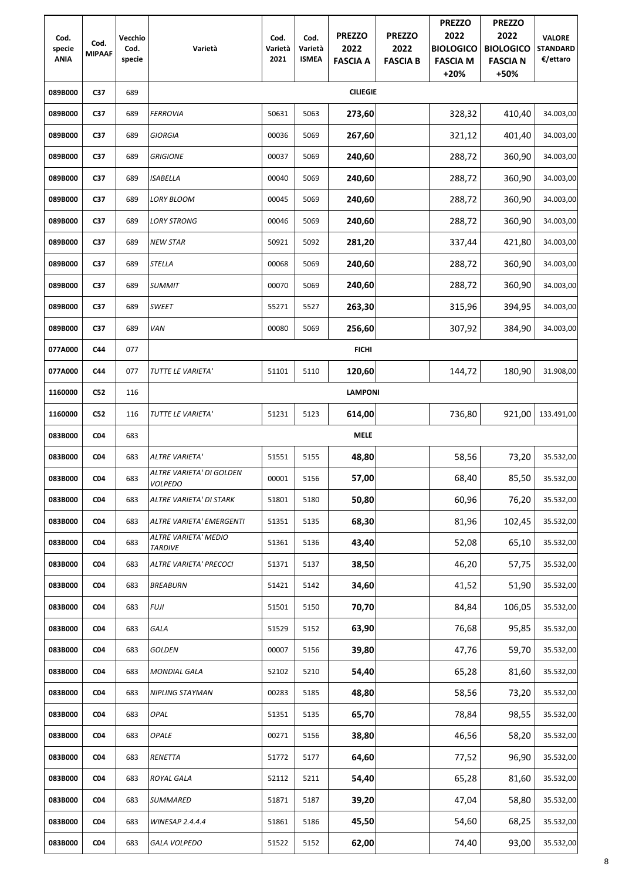| Cod.<br>specie<br><b>ANIA</b> | Cod.<br><b>MIPAAF</b> | Vecchio<br>Cod.<br>specie | Varietà                                    | Cod.<br>Varietà<br>2021 | Cod.<br>Varietà<br><b>ISMEA</b> | <b>PREZZO</b><br>2022<br><b>FASCIA A</b> | <b>PREZZO</b><br>2022<br><b>FASCIA B</b> | <b>PREZZO</b><br>2022<br><b>BIOLOGICO</b><br><b>FASCIA M</b><br>$+20%$ | <b>PREZZO</b><br>2022<br><b>BIOLOGICO</b><br><b>FASCIA N</b><br>+50% | <b>VALORE</b><br><b>STANDARD</b><br>€/ettaro |
|-------------------------------|-----------------------|---------------------------|--------------------------------------------|-------------------------|---------------------------------|------------------------------------------|------------------------------------------|------------------------------------------------------------------------|----------------------------------------------------------------------|----------------------------------------------|
| 089B000                       | C37                   | 689                       |                                            |                         |                                 | <b>CILIEGIE</b>                          |                                          |                                                                        |                                                                      |                                              |
| 089B000                       | C37                   | 689                       | <b>FERROVIA</b>                            | 50631                   | 5063                            | 273,60                                   |                                          | 328,32                                                                 | 410,40                                                               | 34.003,00                                    |
| 089B000                       | C37                   | 689                       | <b>GIORGIA</b>                             | 00036                   | 5069                            | 267,60                                   |                                          | 321,12                                                                 | 401,40                                                               | 34.003,00                                    |
| 089B000                       | C37                   | 689                       | <b>GRIGIONE</b>                            | 00037                   | 5069                            | 240,60                                   |                                          | 288,72                                                                 | 360,90                                                               | 34.003,00                                    |
| 089B000                       | C37                   | 689                       | <b>ISABELLA</b>                            | 00040                   | 5069                            | 240,60                                   |                                          | 288,72                                                                 | 360,90                                                               | 34.003,00                                    |
| 089B000                       | C37                   | 689                       | <b>LORY BLOOM</b>                          | 00045                   | 5069                            | 240,60                                   |                                          | 288,72                                                                 | 360,90                                                               | 34.003,00                                    |
| 089B000                       | C37                   | 689                       | <b>LORY STRONG</b>                         | 00046                   | 5069                            | 240,60                                   |                                          | 288,72                                                                 | 360,90                                                               | 34.003,00                                    |
| 089B000                       | C37                   | 689                       | <b>NEW STAR</b>                            | 50921                   | 5092                            | 281,20                                   |                                          | 337,44                                                                 | 421,80                                                               | 34.003,00                                    |
| 089B000                       | C37                   | 689                       | <b>STELLA</b>                              | 00068                   | 5069                            | 240,60                                   |                                          | 288,72                                                                 | 360,90                                                               | 34.003,00                                    |
| 089B000                       | C37                   | 689                       | <b>SUMMIT</b>                              | 00070                   | 5069                            | 240,60                                   |                                          | 288,72                                                                 | 360,90                                                               | 34.003,00                                    |
| 089B000                       | C37                   | 689                       | <b>SWEET</b>                               | 55271                   | 5527                            | 263,30                                   |                                          | 315,96                                                                 | 394,95                                                               | 34.003,00                                    |
| 089B000                       | C37                   | 689                       | VAN                                        | 00080                   | 5069                            | 256,60                                   |                                          | 307,92                                                                 | 384,90                                                               | 34.003,00                                    |
| 077A000                       | C44                   | 077                       |                                            |                         |                                 | <b>FICHI</b>                             |                                          |                                                                        |                                                                      |                                              |
| 077A000                       | C44                   | 077                       | TUTTE LE VARIETA'                          | 51101                   | 5110                            | 120,60                                   |                                          | 144,72                                                                 | 180,90                                                               | 31.908,00                                    |
| 1160000                       | <b>C52</b>            | 116                       |                                            |                         |                                 | <b>LAMPONI</b>                           |                                          |                                                                        |                                                                      |                                              |
| 1160000                       | <b>C52</b>            | 116                       | TUTTE LE VARIETA'                          | 51231                   | 5123                            | 614,00                                   |                                          | 736,80                                                                 | 921,00                                                               | 133.491,00                                   |
| 083B000                       | CO <sub>4</sub>       | 683                       |                                            |                         |                                 | <b>MELE</b>                              |                                          |                                                                        |                                                                      |                                              |
| 083B000                       | <b>CO4</b>            | 683                       | <b>ALTRE VARIETA'</b>                      | 51551                   | 5155                            | 48,80                                    |                                          | 58,56                                                                  | 73,20                                                                | 35.532,00                                    |
| 083B000                       | <b>CO4</b>            | 683                       | ALTRE VARIETA' DI GOLDEN<br><b>VOLPEDO</b> | 00001                   | 5156                            | 57,00                                    |                                          | 68,40                                                                  | 85,50                                                                | 35.532,00                                    |
| 083B000                       | <b>C04</b>            | 683                       | ALTRE VARIETA' DI STARK                    | 51801                   | 5180                            | 50,80                                    |                                          | 60,96                                                                  | 76,20                                                                | 35.532,00                                    |
| 083B000                       | <b>C04</b>            | 683                       | ALTRE VARIETA' EMERGENTI                   | 51351                   | 5135                            | 68,30                                    |                                          | 81,96                                                                  | 102,45                                                               | 35.532,00                                    |
| 083B000                       | <b>C04</b>            | 683                       | ALTRE VARIETA' MEDIO<br><b>TARDIVE</b>     | 51361                   | 5136                            | 43,40                                    |                                          | 52,08                                                                  | 65,10                                                                | 35.532,00                                    |
| 083B000                       | <b>CO4</b>            | 683                       | ALTRE VARIETA' PRECOCI                     | 51371                   | 5137                            | 38,50                                    |                                          | 46,20                                                                  | 57,75                                                                | 35.532,00                                    |
| 083B000                       | <b>CO4</b>            | 683                       | <b>BREABURN</b>                            | 51421                   | 5142                            | 34,60                                    |                                          | 41,52                                                                  | 51,90                                                                | 35.532,00                                    |
| 083B000                       | <b>C04</b>            | 683                       | <b>FUJI</b>                                | 51501                   | 5150                            | 70,70                                    |                                          | 84,84                                                                  | 106,05                                                               | 35.532,00                                    |
| 083B000                       | <b>C04</b>            | 683                       | GALA                                       | 51529                   | 5152                            | 63,90                                    |                                          | 76,68                                                                  | 95,85                                                                | 35.532,00                                    |
| 083B000                       | <b>CO4</b>            | 683                       | <b>GOLDEN</b>                              | 00007                   | 5156                            | 39,80                                    |                                          | 47,76                                                                  | 59,70                                                                | 35.532,00                                    |
| 083B000                       | <b>CO4</b>            | 683                       | <b>MONDIAL GALA</b>                        | 52102                   | 5210                            | 54,40                                    |                                          | 65,28                                                                  | 81,60                                                                | 35.532,00                                    |
| 083B000                       | <b>CO4</b>            | 683                       | NIPLING STAYMAN                            | 00283                   | 5185                            | 48,80                                    |                                          | 58,56                                                                  | 73,20                                                                | 35.532,00                                    |
| 083B000                       | <b>CO4</b>            | 683                       | OPAL                                       | 51351                   | 5135                            | 65,70                                    |                                          | 78,84                                                                  | 98,55                                                                | 35.532,00                                    |
| 083B000                       | <b>CO4</b>            | 683                       | <b>OPALE</b>                               | 00271                   | 5156                            | 38,80                                    |                                          | 46,56                                                                  | 58,20                                                                | 35.532,00                                    |
| 083B000                       | CO <sub>4</sub>       | 683                       | RENETTA                                    | 51772                   | 5177                            | 64,60                                    |                                          | 77,52                                                                  | 96,90                                                                | 35.532,00                                    |
| 083B000                       | CO <sub>4</sub>       | 683                       | ROYAL GALA                                 | 52112                   | 5211                            | 54,40                                    |                                          | 65,28                                                                  | 81,60                                                                | 35.532,00                                    |
| 083B000                       | CO <sub>4</sub>       | 683                       | <b>SUMMARED</b>                            | 51871                   | 5187                            | 39,20                                    |                                          | 47,04                                                                  | 58,80                                                                | 35.532,00                                    |
| 083B000                       | CO <sub>4</sub>       | 683                       | <b>WINESAP 2.4.4.4</b>                     | 51861                   | 5186                            | 45,50                                    |                                          | 54,60                                                                  | 68,25                                                                | 35.532,00                                    |
| 083B000                       | CO <sub>4</sub>       | 683                       | <b>GALA VOLPEDO</b>                        | 51522                   | 5152                            | 62,00                                    |                                          | 74,40                                                                  | 93,00                                                                | 35.532,00                                    |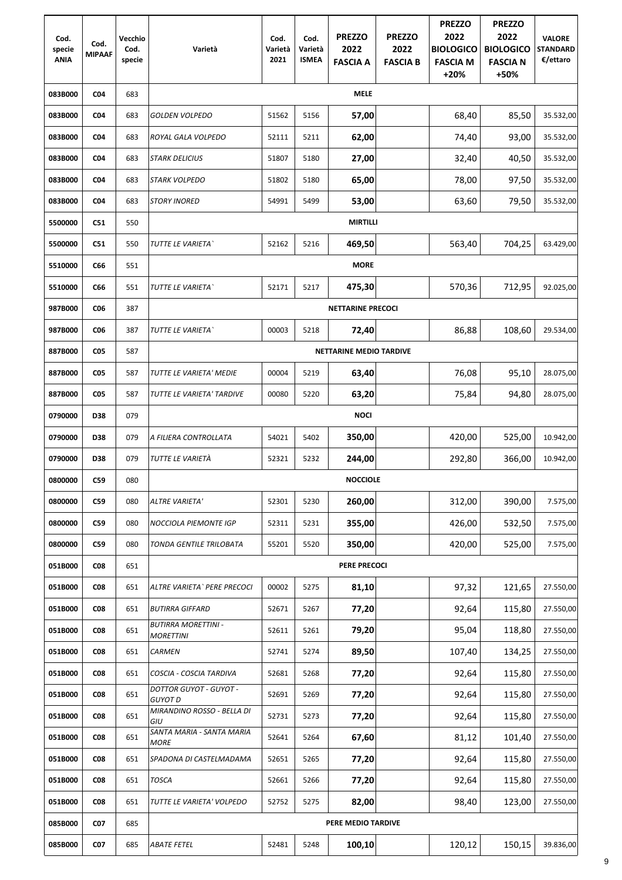| Cod.<br>specie<br><b>ANIA</b> | Cod.<br><b>MIPAAF</b> | Vecchio<br>Cod.<br>specie | Varietà                                         | Cod.<br>Varietà<br>2021 | Cod.<br>Varietà<br><b>ISMEA</b> | <b>PREZZO</b><br>2022<br><b>FASCIA A</b> | <b>PREZZO</b><br>2022<br><b>FASCIA B</b> | <b>PREZZO</b><br>2022<br><b>BIOLOGICO</b><br><b>FASCIA M</b><br>$+20%$ | <b>PREZZO</b><br>2022<br><b>BIOLOGICO</b><br><b>FASCIA N</b><br>+50% | <b>VALORE</b><br><b>STANDARD</b><br>€/ettaro |
|-------------------------------|-----------------------|---------------------------|-------------------------------------------------|-------------------------|---------------------------------|------------------------------------------|------------------------------------------|------------------------------------------------------------------------|----------------------------------------------------------------------|----------------------------------------------|
| 083B000                       | <b>C04</b>            | 683                       |                                                 |                         |                                 | <b>MELE</b>                              |                                          |                                                                        |                                                                      |                                              |
| 083B000                       | <b>C04</b>            | 683                       | <b>GOLDEN VOLPEDO</b>                           | 51562                   | 5156                            | 57,00                                    |                                          | 68,40                                                                  | 85,50                                                                | 35.532,00                                    |
| 083B000                       | CO <sub>4</sub>       | 683                       | ROYAL GALA VOLPEDO                              | 52111                   | 5211                            | 62,00                                    |                                          | 74,40                                                                  | 93,00                                                                | 35.532,00                                    |
| 083B000                       | <b>C04</b>            | 683                       | <b>STARK DELICIUS</b>                           | 51807                   | 5180                            | 27,00                                    |                                          | 32,40                                                                  | 40,50                                                                | 35.532,00                                    |
| 083B000                       | <b>C04</b>            | 683                       | <b>STARK VOLPEDO</b>                            | 51802                   | 5180                            | 65,00                                    |                                          | 78,00                                                                  | 97,50                                                                | 35.532,00                                    |
| 083B000                       | <b>C04</b>            | 683                       | <b>STORY INORED</b>                             | 54991                   | 5499                            | 53,00                                    |                                          | 63,60                                                                  | 79,50                                                                | 35.532,00                                    |
| 5500000                       | C51                   | 550                       |                                                 |                         |                                 | <b>MIRTILLI</b>                          |                                          |                                                                        |                                                                      |                                              |
| 5500000                       | C51                   | 550                       | TUTTE LE VARIETA                                | 52162                   | 5216                            | 469,50                                   |                                          | 563,40                                                                 | 704,25                                                               | 63.429,00                                    |
| 5510000                       | C66                   | 551                       |                                                 |                         |                                 | <b>MORE</b>                              |                                          |                                                                        |                                                                      |                                              |
| 5510000                       | C66                   | 551                       | TUTTE LE VARIETA`                               | 52171                   | 5217                            | 475,30                                   |                                          | 570,36                                                                 | 712,95                                                               | 92.025,00                                    |
| 987B000                       | <b>CO6</b>            | 387                       |                                                 |                         |                                 | <b>NETTARINE PRECOCI</b>                 |                                          |                                                                        |                                                                      |                                              |
| 987B000                       | <b>CO6</b>            | 387                       | TUTTE LE VARIETA`                               | 00003                   | 5218                            | 72,40                                    |                                          | 86,88                                                                  | 108,60                                                               | 29.534,00                                    |
| 887B000                       | C <sub>05</sub>       | 587                       |                                                 |                         |                                 | <b>NETTARINE MEDIO TARDIVE</b>           |                                          |                                                                        |                                                                      |                                              |
| 887B000                       | <b>CO5</b>            | 587                       | TUTTE LE VARIETA' MEDIE                         | 00004                   | 5219                            | 63,40                                    |                                          | 76,08                                                                  | 95,10                                                                | 28.075,00                                    |
| 887B000                       | C <sub>05</sub>       | 587                       | TUTTE LE VARIETA' TARDIVE                       | 00080                   | 5220                            | 63,20                                    |                                          | 75,84                                                                  | 94,80                                                                | 28.075,00                                    |
| 0790000                       | D38                   | 079                       |                                                 |                         |                                 | <b>NOCI</b>                              |                                          |                                                                        |                                                                      |                                              |
| 0790000                       | <b>D38</b>            | 079                       | A FILIERA CONTROLLATA                           | 54021                   | 5402                            | 350,00                                   |                                          | 420,00                                                                 | 525,00                                                               | 10.942,00                                    |
| 0790000                       | <b>D38</b>            | 079                       | TUTTE LE VARIETÀ                                | 52321                   | 5232                            | 244,00                                   |                                          | 292,80                                                                 | 366,00                                                               | 10.942,00                                    |
| 0800000                       | <b>C59</b>            | 080                       |                                                 |                         |                                 | <b>NOCCIOLE</b>                          |                                          |                                                                        |                                                                      |                                              |
| 0800000                       | C59                   | 080                       | <b>ALTRE VARIETA'</b>                           | 52301                   | 5230                            | 260,00                                   |                                          | 312,00                                                                 | 390,00                                                               | 7.575,00                                     |
| 0800000                       | C59                   | 080                       | NOCCIOLA PIEMONTE IGP                           | 52311                   | 5231                            | 355,00                                   |                                          | 426,00                                                                 | 532,50                                                               | 7.575,00                                     |
| 0800000                       | C59                   | 080                       | TONDA GENTILE TRILOBATA                         | 55201                   | 5520                            | 350,00                                   |                                          | 420,00                                                                 | 525,00                                                               | 7.575,00                                     |
| 051B000                       | C <sub>08</sub>       | 651                       |                                                 |                         |                                 | <b>PERE PRECOCI</b>                      |                                          |                                                                        |                                                                      |                                              |
| 051B000                       | <b>CO8</b>            | 651                       | ALTRE VARIETA ` PERE PRECOCI                    | 00002                   | 5275                            | 81,10                                    |                                          | 97,32                                                                  | 121,65                                                               | 27.550,00                                    |
| 051B000                       | C <sub>08</sub>       | 651                       | <b>BUTIRRA GIFFARD</b>                          | 52671                   | 5267                            | 77,20                                    |                                          | 92,64                                                                  | 115,80                                                               | 27.550,00                                    |
| 051B000                       | <b>CO8</b>            | 651                       | <b>BUTIRRA MORETTINI -</b><br><b>MORETTINI</b>  | 52611                   | 5261                            | 79,20                                    |                                          | 95,04                                                                  | 118,80                                                               | 27.550,00                                    |
| 051B000                       | <b>CO8</b>            | 651                       | <b>CARMEN</b>                                   | 52741                   | 5274                            | 89,50                                    |                                          | 107,40                                                                 | 134,25                                                               | 27.550,00                                    |
| 051B000                       | <b>CO8</b>            | 651                       | COSCIA - COSCIA TARDIVA                         | 52681                   | 5268                            | 77,20                                    |                                          | 92,64                                                                  | 115,80                                                               | 27.550,00                                    |
| 051B000                       | <b>CO8</b>            | 651                       | <b>DOTTOR GUYOT - GUYOT -</b><br><b>GUYOT D</b> | 52691                   | 5269                            | 77,20                                    |                                          | 92,64                                                                  | 115,80                                                               | 27.550,00                                    |
| 051B000                       | <b>CO8</b>            | 651                       | MIRANDINO ROSSO - BELLA DI<br>GIU               | 52731                   | 5273                            | 77,20                                    |                                          | 92,64                                                                  | 115,80                                                               | 27.550,00                                    |
| 051B000                       | <b>CO8</b>            | 651                       | SANTA MARIA - SANTA MARIA<br><b>MORE</b>        | 52641                   | 5264                            | 67,60                                    |                                          | 81,12                                                                  | 101,40                                                               | 27.550,00                                    |
| 051B000                       | <b>CO8</b>            | 651                       | SPADONA DI CASTELMADAMA                         | 52651                   | 5265                            | 77,20                                    |                                          | 92,64                                                                  | 115,80                                                               | 27.550,00                                    |
| 051B000                       | C <sub>08</sub>       | 651                       | <b>TOSCA</b>                                    | 52661                   | 5266                            | 77,20                                    |                                          | 92,64                                                                  | 115,80                                                               | 27.550,00                                    |
| 051B000                       | C <sub>08</sub>       | 651                       | TUTTE LE VARIETA' VOLPEDO                       | 52752                   | 5275                            | 82,00                                    |                                          | 98,40                                                                  | 123,00                                                               | 27.550,00                                    |
| 085B000                       | <b>CO7</b>            | 685                       |                                                 |                         |                                 | PERE MEDIO TARDIVE                       |                                          |                                                                        |                                                                      |                                              |
| 085B000                       | <b>CO7</b>            | 685                       | <b>ABATE FETEL</b>                              | 52481                   | 5248                            | 100,10                                   |                                          | 120,12                                                                 | 150,15                                                               | 39.836,00                                    |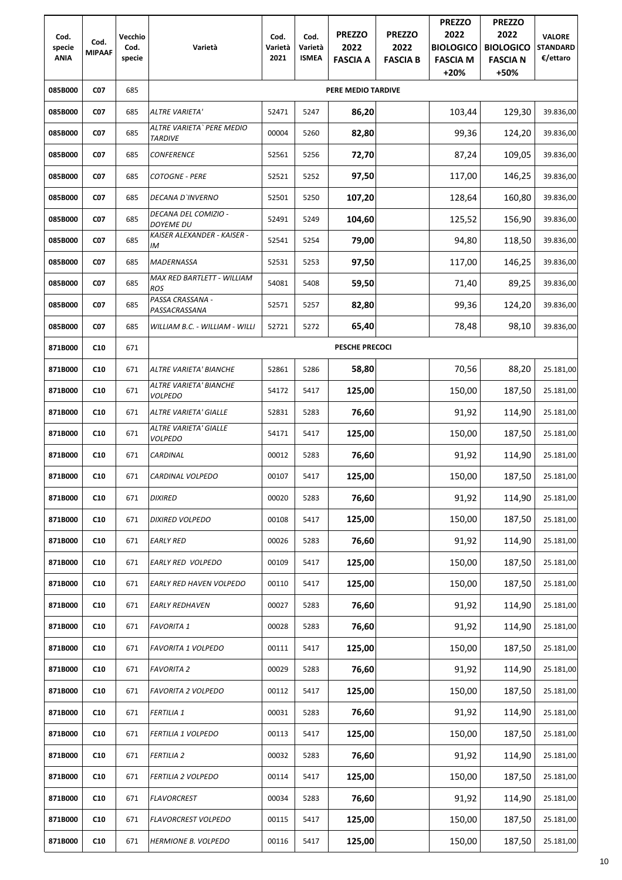| Cod.<br>specie<br><b>ANIA</b> | Cod.<br><b>MIPAAF</b> | <b>Vecchio</b><br>Cod.<br>specie | Varietà                                     | Cod.<br>Varietà<br>2021 | Cod.<br>Varietà<br><b>ISMEA</b> | <b>PREZZO</b><br>2022<br><b>FASCIA A</b> | <b>PREZZO</b><br>2022<br><b>FASCIA B</b> | <b>PREZZO</b><br>2022<br><b>BIOLOGICO</b><br><b>FASCIA M</b><br>$+20%$ | <b>PREZZO</b><br>2022<br><b>BIOLOGICO</b><br><b>FASCIA N</b><br>+50% | <b>VALORE</b><br><b>STANDARD</b><br>€/ettaro |
|-------------------------------|-----------------------|----------------------------------|---------------------------------------------|-------------------------|---------------------------------|------------------------------------------|------------------------------------------|------------------------------------------------------------------------|----------------------------------------------------------------------|----------------------------------------------|
| 085B000                       | CO <sub>7</sub>       | 685                              |                                             |                         |                                 | <b>PERE MEDIO TARDIVE</b>                |                                          |                                                                        |                                                                      |                                              |
| 085B000                       | CO <sub>7</sub>       | 685                              | <b>ALTRE VARIETA'</b>                       | 52471                   | 5247                            | 86,20                                    |                                          | 103,44                                                                 | 129,30                                                               | 39.836,00                                    |
| 085B000                       | CO <sub>7</sub>       | 685                              | ALTRE VARIETA` PERE MEDIO<br><b>TARDIVE</b> | 00004                   | 5260                            | 82,80                                    |                                          | 99,36                                                                  | 124,20                                                               | 39.836,00                                    |
| 085B000                       | <b>CO7</b>            | 685                              | <b>CONFERENCE</b>                           | 52561                   | 5256                            | 72,70                                    |                                          | 87,24                                                                  | 109,05                                                               | 39.836,00                                    |
| 085B000                       | CO <sub>7</sub>       | 685                              | <b>COTOGNE - PERE</b>                       | 52521                   | 5252                            | 97,50                                    |                                          | 117,00                                                                 | 146,25                                                               | 39.836,00                                    |
| 085B000                       | CO <sub>7</sub>       | 685                              | <b>DECANA D'INVERNO</b>                     | 52501                   | 5250                            | 107,20                                   |                                          | 128,64                                                                 | 160,80                                                               | 39.836,00                                    |
| 085B000                       | CO <sub>7</sub>       | 685                              | DECANA DEL COMIZIO -<br>DOYEME DU           | 52491                   | 5249                            | 104,60                                   |                                          | 125,52                                                                 | 156,90                                                               | 39.836,00                                    |
| 085B000                       | <b>C07</b>            | 685                              | KAISER ALEXANDER - KAISER -<br>IM           | 52541                   | 5254                            | 79,00                                    |                                          | 94,80                                                                  | 118,50                                                               | 39.836,00                                    |
| 085B000                       | <b>CO7</b>            | 685                              | <b>MADERNASSA</b>                           | 52531                   | 5253                            | 97,50                                    |                                          | 117,00                                                                 | 146,25                                                               | 39.836,00                                    |
| 085B000                       | <b>C07</b>            | 685                              | MAX RED BARTLETT - WILLIAM<br><b>ROS</b>    | 54081                   | 5408                            | 59,50                                    |                                          | 71,40                                                                  | 89,25                                                                | 39.836,00                                    |
| 085B000                       | CO <sub>7</sub>       | 685                              | PASSA CRASSANA -<br>PASSACRASSANA           | 52571                   | 5257                            | 82,80                                    |                                          | 99,36                                                                  | 124,20                                                               | 39.836,00                                    |
| 085B000                       | CO <sub>7</sub>       | 685                              | WILLIAM B.C. - WILLIAM - WILLI              | 52721                   | 5272                            | 65,40                                    |                                          | 78,48                                                                  | 98,10                                                                | 39.836,00                                    |
| 871B000                       | C10                   | 671                              |                                             |                         |                                 | <b>PESCHE PRECOCI</b>                    |                                          |                                                                        |                                                                      |                                              |
| 871B000                       | C10                   | 671                              | ALTRE VARIETA' BIANCHE                      | 52861                   | 5286                            | 58,80                                    |                                          | 70,56                                                                  | 88,20                                                                | 25.181,00                                    |
| 871B000                       | C10                   | 671                              | ALTRE VARIETA' BIANCHE<br><b>VOLPEDO</b>    | 54172                   | 5417                            | 125,00                                   |                                          | 150,00                                                                 | 187,50                                                               | 25.181,00                                    |
| 871B000                       | C10                   | 671                              | ALTRE VARIETA' GIALLE                       | 52831                   | 5283                            | 76,60                                    |                                          | 91,92                                                                  | 114,90                                                               | 25.181,00                                    |
| 871B000                       | C10                   | 671                              | ALTRE VARIETA' GIALLE<br><b>VOLPEDO</b>     | 54171                   | 5417                            | 125,00                                   |                                          | 150,00                                                                 | 187,50                                                               | 25.181,00                                    |
| 871B000                       | C10                   | 671                              | CARDINAL                                    | 00012                   | 5283                            | 76,60                                    |                                          | 91,92                                                                  | 114,90                                                               | 25.181,00                                    |
| 871B000                       | C10                   | 671                              | CARDINAL VOLPEDO                            | 00107                   | 5417                            | 125,00                                   |                                          | 150,00                                                                 | 187,50                                                               | 25.181,00                                    |
| 871B000                       | C10                   | 671                              | <b>DIXIRED</b>                              | 00020                   | 5283                            | 76,60                                    |                                          | 91,92                                                                  | 114,90                                                               | 25.181,00                                    |
| 871B000                       | C10                   | 671                              | <b>DIXIRED VOLPEDO</b>                      | 00108                   | 5417                            | 125,00                                   |                                          | 150,00                                                                 | 187,50                                                               | 25.181,00                                    |
| 871B000                       | C10                   | 671                              | <b>EARLY RED</b>                            | 00026                   | 5283                            | 76,60                                    |                                          | 91,92                                                                  | 114,90                                                               | 25.181,00                                    |
| 871B000                       | C10                   | 671                              | EARLY RED VOLPEDO                           | 00109                   | 5417                            | 125,00                                   |                                          | 150,00                                                                 | 187,50                                                               | 25.181,00                                    |
| 871B000                       | C10                   | 671                              | EARLY RED HAVEN VOLPEDO                     | 00110                   | 5417                            | 125,00                                   |                                          | 150,00                                                                 | 187,50                                                               | 25.181,00                                    |
| 871B000                       | C10                   | 671                              | <b>EARLY REDHAVEN</b>                       | 00027                   | 5283                            | 76,60                                    |                                          | 91,92                                                                  | 114,90                                                               | 25.181,00                                    |
| 871B000                       | C10                   | 671                              | <b>FAVORITA 1</b>                           | 00028                   | 5283                            | 76,60                                    |                                          | 91,92                                                                  | 114,90                                                               | 25.181,00                                    |
| 871B000                       | C10                   | 671                              | FAVORITA 1 VOLPEDO                          | 00111                   | 5417                            | 125,00                                   |                                          | 150,00                                                                 | 187,50                                                               | 25.181,00                                    |
| 871B000                       | C10                   | 671                              | <b>FAVORITA 2</b>                           | 00029                   | 5283                            | 76,60                                    |                                          | 91,92                                                                  | 114,90                                                               | 25.181,00                                    |
| 871B000                       | C10                   | 671                              | <b>FAVORITA 2 VOLPEDO</b>                   | 00112                   | 5417                            | 125,00                                   |                                          | 150,00                                                                 | 187,50                                                               | 25.181,00                                    |
| 871B000                       | C10                   | 671                              | <b>FERTILIA 1</b>                           | 00031                   | 5283                            | 76,60                                    |                                          | 91,92                                                                  | 114,90                                                               | 25.181,00                                    |
| 871B000                       | C10                   | 671                              | FERTILIA 1 VOLPEDO                          | 00113                   | 5417                            | 125,00                                   |                                          | 150,00                                                                 | 187,50                                                               | 25.181,00                                    |
| 871B000                       | C10                   | 671                              | <b>FERTILIA 2</b>                           | 00032                   | 5283                            | 76,60                                    |                                          | 91,92                                                                  | 114,90                                                               | 25.181,00                                    |
| 871B000                       | C10                   | 671                              | <b>FERTILIA 2 VOLPEDO</b>                   | 00114                   | 5417                            | 125,00                                   |                                          | 150,00                                                                 | 187,50                                                               | 25.181,00                                    |
| 871B000                       | C10                   | 671                              | <b>FLAVORCREST</b>                          | 00034                   | 5283                            | 76,60                                    |                                          | 91,92                                                                  | 114,90                                                               | 25.181,00                                    |
| 871B000                       | C10                   | 671                              | <b>FLAVORCREST VOLPEDO</b>                  | 00115                   | 5417                            | 125,00                                   |                                          | 150,00                                                                 | 187,50                                                               | 25.181,00                                    |
| 871B000                       | C10                   | 671                              | <b>HERMIONE B. VOLPEDO</b>                  | 00116                   | 5417                            | 125,00                                   |                                          | 150,00                                                                 | 187,50                                                               | 25.181,00                                    |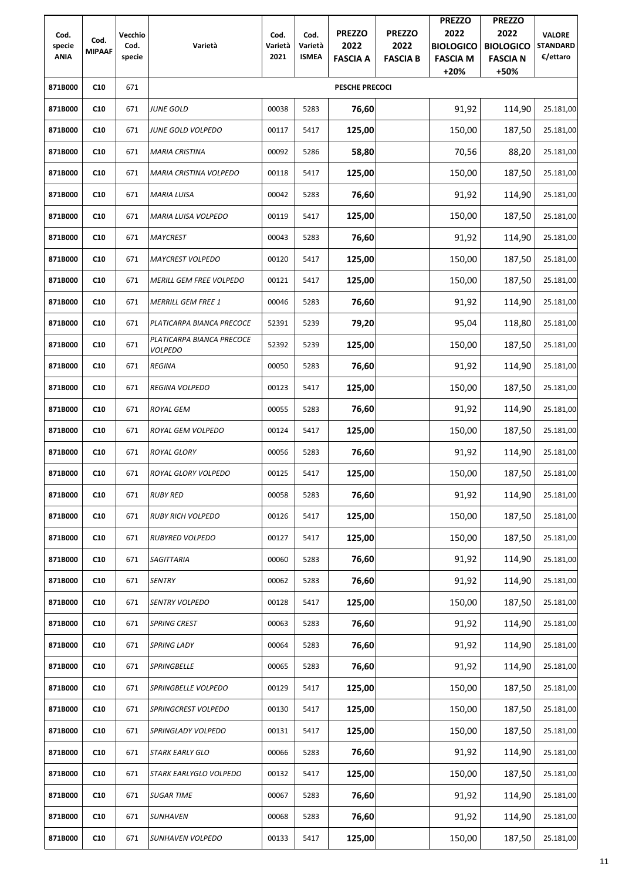|                       |               |                |                                             |                 |                         |                       |                 | <b>PREZZO</b>             | <b>PREZZO</b>           |                             |
|-----------------------|---------------|----------------|---------------------------------------------|-----------------|-------------------------|-----------------------|-----------------|---------------------------|-------------------------|-----------------------------|
| Cod.                  | Cod.          | Vecchio        |                                             | Cod.            | Cod.                    | <b>PREZZO</b>         | <b>PREZZO</b>   | 2022                      | 2022                    | <b>VALORE</b>               |
| specie<br><b>ANIA</b> | <b>MIPAAF</b> | Cod.<br>specie | Varietà                                     | Varietà<br>2021 | Varietà<br><b>ISMEA</b> | 2022                  | 2022            | <b>BIOLOGICO</b>          | <b>BIOLOGICO</b>        | <b>STANDARD</b><br>€/ettaro |
|                       |               |                |                                             |                 |                         | <b>FASCIA A</b>       | <b>FASCIA B</b> | <b>FASCIA M</b><br>$+20%$ | <b>FASCIA N</b><br>+50% |                             |
| 871B000               | C10           | 671            |                                             |                 |                         | <b>PESCHE PRECOCI</b> |                 |                           |                         |                             |
| 871B000               | C10           | 671            | <b>JUNE GOLD</b>                            | 00038           | 5283                    | 76,60                 |                 | 91,92                     | 114,90                  | 25.181,00                   |
| 871B000               | C10           | 671            | JUNE GOLD VOLPEDO                           | 00117           | 5417                    | 125,00                |                 | 150,00                    | 187,50                  | 25.181,00                   |
| 871B000               | C10           | 671            | <b>MARIA CRISTINA</b>                       | 00092           | 5286                    | 58,80                 |                 | 70,56                     | 88,20                   | 25.181,00                   |
| 871B000               | C10           | 671            | <b>MARIA CRISTINA VOLPEDO</b>               | 00118           | 5417                    | 125,00                |                 | 150,00                    | 187,50                  | 25.181,00                   |
| 871B000               | C10           | 671            | <b>MARIA LUISA</b>                          | 00042           | 5283                    | 76,60                 |                 | 91,92                     | 114,90                  | 25.181,00                   |
| 871B000               | C10           | 671            | <b>MARIA LUISA VOLPEDO</b>                  | 00119           | 5417                    | 125,00                |                 | 150,00                    | 187,50                  | 25.181,00                   |
| 871B000               | C10           | 671            | <b>MAYCREST</b>                             | 00043           | 5283                    | 76,60                 |                 | 91,92                     | 114,90                  | 25.181,00                   |
| 871B000               | C10           | 671            | <b>MAYCREST VOLPEDO</b>                     | 00120           | 5417                    | 125,00                |                 | 150,00                    | 187,50                  | 25.181,00                   |
| 871B000               | C10           | 671            | MERILL GEM FREE VOLPEDO                     | 00121           | 5417                    | 125,00                |                 | 150,00                    | 187,50                  | 25.181,00                   |
| 871B000               | C10           | 671            | <b>MERRILL GEM FREE 1</b>                   | 00046           | 5283                    | 76,60                 |                 | 91,92                     | 114,90                  | 25.181,00                   |
| 871B000               | C10           | 671            | PLATICARPA BIANCA PRECOCE                   | 52391           | 5239                    | 79,20                 |                 | 95,04                     | 118,80                  | 25.181,00                   |
| 871B000               | C10           | 671            | PLATICARPA BIANCA PRECOCE<br><b>VOLPEDO</b> | 52392           | 5239                    | 125,00                |                 | 150,00                    | 187,50                  | 25.181,00                   |
| 871B000               | C10           | 671            | <b>REGINA</b>                               | 00050           | 5283                    | 76,60                 |                 | 91,92                     | 114,90                  | 25.181,00                   |
| 871B000               | C10           | 671            | REGINA VOLPEDO                              | 00123           | 5417                    | 125,00                |                 | 150,00                    | 187,50                  | 25.181,00                   |
| 871B000               | C10           | 671            | <b>ROYAL GEM</b>                            | 00055           | 5283                    | 76,60                 |                 | 91,92                     | 114,90                  | 25.181,00                   |
| 871B000               | C10           | 671            | ROYAL GEM VOLPEDO                           | 00124           | 5417                    | 125,00                |                 | 150,00                    | 187,50                  | 25.181,00                   |
| 871B000               | C10           | 671            | <b>ROYAL GLORY</b>                          | 00056           | 5283                    | 76,60                 |                 | 91,92                     | 114,90                  | 25.181,00                   |
| 871B000               | C10           | 671            | ROYAL GLORY VOLPEDO                         | 00125           | 5417                    | 125,00                |                 | 150,00                    | 187,50                  | 25.181,00                   |
| 871B000               | C10           | 671            | <b>RUBY RED</b>                             | 00058           | 5283                    | 76,60                 |                 | 91,92                     | 114,90                  | 25.181,00                   |
| 871B000               | C10           | 671            | <b>RUBY RICH VOLPEDO</b>                    | 00126           | 5417                    | 125,00                |                 | 150,00                    | 187,50                  | 25.181,00                   |
| 871B000               | C10           | 671            | <b>RUBYRED VOLPEDO</b>                      | 00127           | 5417                    | 125,00                |                 | 150,00                    | 187,50                  | 25.181,00                   |
| 871B000               | C10           | 671            | SAGITTARIA                                  | 00060           | 5283                    | 76,60                 |                 | 91,92                     | 114,90                  | 25.181,00                   |
| 871B000               | C10           | 671            | <b>SENTRY</b>                               | 00062           | 5283                    | 76,60                 |                 | 91,92                     | 114,90                  | 25.181,00                   |
| 871B000               | C10           | 671            | SENTRY VOLPEDO                              | 00128           | 5417                    | 125,00                |                 | 150,00                    | 187,50                  | 25.181,00                   |
| 871B000               | C10           | 671            | <b>SPRING CREST</b>                         | 00063           | 5283                    | 76,60                 |                 | 91,92                     | 114,90                  | 25.181,00                   |
| 871B000               | C10           | 671            | <b>SPRING LADY</b>                          | 00064           | 5283                    | 76,60                 |                 | 91,92                     | 114,90                  | 25.181,00                   |
| 871B000               | C10           | 671            | <b>SPRINGBELLE</b>                          | 00065           | 5283                    | 76,60                 |                 | 91,92                     | 114,90                  | 25.181,00                   |
| 871B000               | C10           | 671            | SPRINGBELLE VOLPEDO                         | 00129           | 5417                    | 125,00                |                 | 150,00                    | 187,50                  | 25.181,00                   |
| 871B000               | C10           | 671            | SPRINGCREST VOLPEDO                         | 00130           | 5417                    | 125,00                |                 | 150,00                    | 187,50                  | 25.181,00                   |
| 871B000               | C10           | 671            | SPRINGLADY VOLPEDO                          | 00131           | 5417                    | 125,00                |                 | 150,00                    | 187,50                  | 25.181,00                   |
| 871B000               | C10           | 671            | <b>STARK EARLY GLO</b>                      | 00066           | 5283                    | 76,60                 |                 | 91,92                     | 114,90                  | 25.181,00                   |
| 871B000               | C10           | 671            | STARK EARLYGLO VOLPEDO                      | 00132           | 5417                    | 125,00                |                 | 150,00                    | 187,50                  | 25.181,00                   |
| 871B000               | C10           | 671            | <b>SUGAR TIME</b>                           | 00067           | 5283                    | 76,60                 |                 | 91,92                     | 114,90                  | 25.181,00                   |
| 871B000               | C10           | 671            | <b>SUNHAVEN</b>                             | 00068           | 5283                    | 76,60                 |                 | 91,92                     | 114,90                  | 25.181,00                   |
| 871B000               | C10           | 671            | SUNHAVEN VOLPEDO                            | 00133           | 5417                    | 125,00                |                 | 150,00                    | 187,50                  | 25.181,00                   |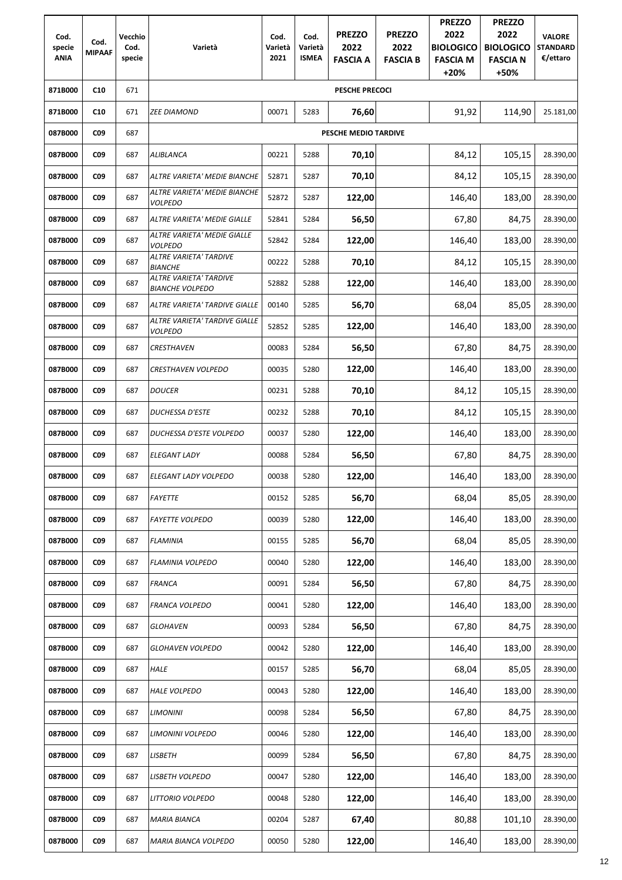|                |                 |                 |                                                  |                 |                 |                       |                       | <b>PREZZO</b>            | <b>PREZZO</b>            |                                  |
|----------------|-----------------|-----------------|--------------------------------------------------|-----------------|-----------------|-----------------------|-----------------------|--------------------------|--------------------------|----------------------------------|
| Cod.<br>specie | Cod.            | Vecchio<br>Cod. | Varietà                                          | Cod.<br>Varietà | Cod.<br>Varietà | <b>PREZZO</b><br>2022 | <b>PREZZO</b><br>2022 | 2022<br><b>BIOLOGICO</b> | 2022<br><b>BIOLOGICO</b> | <b>VALORE</b><br><b>STANDARD</b> |
| <b>ANIA</b>    | <b>MIPAAF</b>   | specie          |                                                  | 2021            | <b>ISMEA</b>    | <b>FASCIA A</b>       | <b>FASCIA B</b>       | <b>FASCIA M</b>          | <b>FASCIA N</b>          | €/ettaro                         |
|                |                 |                 |                                                  |                 |                 |                       |                       | $+20%$                   | +50%                     |                                  |
| 871B000        | C10             | 671             |                                                  |                 |                 | <b>PESCHE PRECOCI</b> |                       |                          |                          |                                  |
| 871B000        | C10             | 671             | <b>ZEE DIAMOND</b>                               | 00071           | 5283            | 76,60                 |                       | 91,92                    | 114,90                   | 25.181,00                        |
| 087B000        | C <sub>09</sub> | 687             |                                                  |                 |                 | PESCHE MEDIO TARDIVE  |                       |                          |                          |                                  |
| 087B000        | C <sub>09</sub> | 687             | ALIBLANCA                                        | 00221           | 5288            | 70,10                 |                       | 84,12                    | 105,15                   | 28.390,00                        |
| 087B000        | C <sub>09</sub> | 687             | ALTRE VARIETA' MEDIE BIANCHE                     | 52871           | 5287            | 70,10                 |                       | 84,12                    | 105,15                   | 28.390,00                        |
| 087B000        | C <sub>09</sub> | 687             | ALTRE VARIETA' MEDIE BIANCHE<br><b>VOLPEDO</b>   | 52872           | 5287            | 122,00                |                       | 146,40                   | 183,00                   | 28.390,00                        |
| 087B000        | C <sub>09</sub> | 687             | ALTRE VARIETA' MEDIE GIALLE                      | 52841           | 5284            | 56,50                 |                       | 67,80                    | 84,75                    | 28.390,00                        |
| 087B000        | C <sub>09</sub> | 687             | ALTRE VARIETA' MEDIE GIALLE<br><b>VOLPEDO</b>    | 52842           | 5284            | 122,00                |                       | 146,40                   | 183,00                   | 28.390,00                        |
| 087B000        | C <sub>09</sub> | 687             | ALTRE VARIETA' TARDIVE<br><b>BIANCHE</b>         | 00222           | 5288            | 70,10                 |                       | 84,12                    | 105,15                   | 28.390,00                        |
| 087B000        | <b>CO9</b>      | 687             | ALTRE VARIETA' TARDIVE<br><b>BIANCHE VOLPEDO</b> | 52882           | 5288            | 122,00                |                       | 146,40                   | 183,00                   | 28.390,00                        |
| 087B000        | C <sub>09</sub> | 687             | ALTRE VARIETA' TARDIVE GIALLE                    | 00140           | 5285            | 56,70                 |                       | 68,04                    | 85,05                    | 28.390,00                        |
| 087B000        | C <sub>09</sub> | 687             | ALTRE VARIETA' TARDIVE GIALLE<br><b>VOLPEDO</b>  | 52852           | 5285            | 122,00                |                       | 146,40                   | 183,00                   | 28.390,00                        |
| 087B000        | C <sub>09</sub> | 687             | <b>CRESTHAVEN</b>                                | 00083           | 5284            | 56,50                 |                       | 67,80                    | 84,75                    | 28.390,00                        |
| 087B000        | C <sub>09</sub> | 687             | CRESTHAVEN VOLPEDO                               | 00035           | 5280            | 122,00                |                       | 146,40                   | 183,00                   | 28.390,00                        |
| 087B000        | C <sub>09</sub> | 687             | <b>DOUCER</b>                                    | 00231           | 5288            | 70,10                 |                       | 84,12                    | 105,15                   | 28.390,00                        |
| 087B000        | <b>CO9</b>      | 687             | DUCHESSA D'ESTE                                  | 00232           | 5288            | 70,10                 |                       | 84,12                    | 105,15                   | 28.390,00                        |
| 087B000        | C <sub>09</sub> | 687             | DUCHESSA D'ESTE VOLPEDO                          | 00037           | 5280            | 122,00                |                       | 146,40                   | 183,00                   | 28.390,00                        |
| 087B000        | <b>CO9</b>      | 687             | ELEGANT LADY                                     | 00088           | 5284            | 56,50                 |                       | 67,80                    | 84,75                    | 28.390,00                        |
| 087B000        | <b>CO9</b>      | 687             | ELEGANT LADY VOLPEDO                             | 00038           | 5280            | 122,00                |                       | 146,40                   | 183,00                   | 28.390,00                        |
| 087B000        | C <sub>09</sub> | 687             | <b>FAYETTE</b>                                   | 00152           | 5285            | 56,70                 |                       | 68,04                    | 85,05                    | 28.390,00                        |
| 087B000        | <b>CO9</b>      | 687             | <b>FAYETTE VOLPEDO</b>                           | 00039           | 5280            | 122,00                |                       | 146,40                   | 183,00                   | 28.390,00                        |
| 087B000        | <b>CO9</b>      | 687             | <b>FLAMINIA</b>                                  | 00155           | 5285            | 56,70                 |                       | 68,04                    | 85,05                    | 28.390,00                        |
| 087B000        | <b>CO9</b>      | 687             | <b>FLAMINIA VOLPEDO</b>                          | 00040           | 5280            | 122,00                |                       | 146,40                   | 183,00                   | 28.390,00                        |
| 087B000        | <b>CO9</b>      | 687             | <b>FRANCA</b>                                    | 00091           | 5284            | 56,50                 |                       | 67,80                    | 84,75                    | 28.390,00                        |
| 087B000        | <b>CO9</b>      | 687             | FRANCA VOLPEDO                                   | 00041           | 5280            | 122,00                |                       | 146,40                   | 183,00                   | 28.390,00                        |
| 087B000        | C <sub>09</sub> | 687             | <b>GLOHAVEN</b>                                  | 00093           | 5284            | 56,50                 |                       | 67,80                    | 84,75                    | 28.390,00                        |
| 087B000        | <b>CO9</b>      | 687             | <b>GLOHAVEN VOLPEDO</b>                          | 00042           | 5280            | 122,00                |                       | 146,40                   | 183,00                   | 28.390,00                        |
| 087B000        | C <sub>09</sub> | 687             | HALE                                             | 00157           | 5285            | 56,70                 |                       | 68,04                    | 85,05                    | 28.390,00                        |
| 087B000        | <b>CO9</b>      | 687             | <b>HALE VOLPEDO</b>                              | 00043           | 5280            | 122,00                |                       | 146,40                   | 183,00                   | 28.390,00                        |
| 087B000        | C <sub>09</sub> | 687             | <b>LIMONINI</b>                                  | 00098           | 5284            | 56,50                 |                       | 67,80                    | 84,75                    | 28.390,00                        |
| 087B000        | <b>CO9</b>      | 687             | LIMONINI VOLPEDO                                 | 00046           | 5280            | 122,00                |                       | 146,40                   | 183,00                   | 28.390,00                        |
| 087B000        | C <sub>09</sub> | 687             | <b>LISBETH</b>                                   | 00099           | 5284            | 56,50                 |                       | 67,80                    | 84,75                    | 28.390,00                        |
| 087B000        | CO <sub>9</sub> | 687             | LISBETH VOLPEDO                                  | 00047           | 5280            | 122,00                |                       | 146,40                   | 183,00                   | 28.390,00                        |
| 087B000        | <b>CO9</b>      | 687             | LITTORIO VOLPEDO                                 | 00048           | 5280            | 122,00                |                       | 146,40                   | 183,00                   | 28.390,00                        |
| 087B000        | <b>CO9</b>      | 687             | <b>MARIA BIANCA</b>                              | 00204           | 5287            | 67,40                 |                       | 80,88                    | 101,10                   | 28.390,00                        |
| 087B000        | <b>CO9</b>      | 687             | MARIA BIANCA VOLPEDO                             | 00050           | 5280            | 122,00                |                       | 146,40                   | 183,00                   | 28.390,00                        |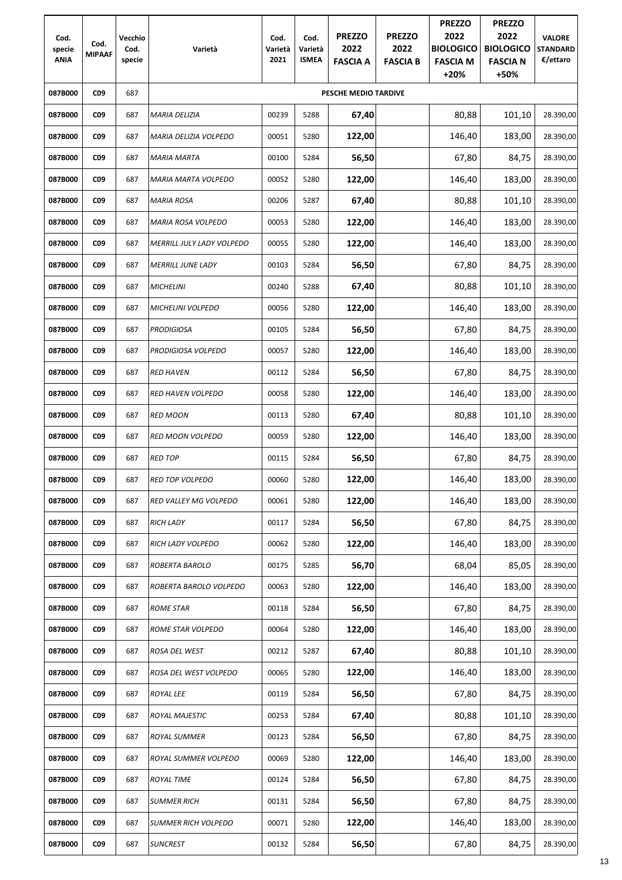| Cod.<br>specie<br><b>ANIA</b> | Cod.<br><b>MIPAAF</b> | Vecchio<br>Cod.<br>specie | Varietà                          | Cod.<br>Varietà<br>2021 | Cod.<br>Varietà<br><b>ISMEA</b> | <b>PREZZO</b><br>2022<br><b>FASCIA A</b> | <b>PREZZO</b><br>2022<br><b>FASCIA B</b> | <b>PREZZO</b><br>2022<br><b>BIOLOGICO</b><br><b>FASCIA M</b><br>$+20%$ | <b>PREZZO</b><br>2022<br><b>BIOLOGICO</b><br><b>FASCIA N</b><br>+50% | <b>VALORE</b><br><b>STANDARD</b><br>€/ettaro |
|-------------------------------|-----------------------|---------------------------|----------------------------------|-------------------------|---------------------------------|------------------------------------------|------------------------------------------|------------------------------------------------------------------------|----------------------------------------------------------------------|----------------------------------------------|
| 087B000                       | <b>CO9</b>            | 687                       |                                  |                         |                                 | PESCHE MEDIO TARDIVE                     |                                          |                                                                        |                                                                      |                                              |
| 087B000                       | CO <sub>9</sub>       | 687                       | <b>MARIA DELIZIA</b>             | 00239                   | 5288                            | 67,40                                    |                                          | 80,88                                                                  | 101,10                                                               | 28.390,00                                    |
| 087B000                       | <b>CO9</b>            | 687                       | MARIA DELIZIA VOLPEDO            | 00051                   | 5280                            | 122,00                                   |                                          | 146,40                                                                 | 183,00                                                               | 28.390,00                                    |
| 087B000                       | CO <sub>9</sub>       | 687                       | <b>MARIA MARTA</b>               | 00100                   | 5284                            | 56,50                                    |                                          | 67,80                                                                  | 84,75                                                                | 28.390,00                                    |
| 087B000                       | CO <sub>9</sub>       | 687                       | <b>MARIA MARTA VOLPEDO</b>       | 00052                   | 5280                            | 122,00                                   |                                          | 146,40                                                                 | 183,00                                                               | 28.390,00                                    |
| 087B000                       | <b>CO9</b>            | 687                       | <b>MARIA ROSA</b>                | 00206                   | 5287                            | 67,40                                    |                                          | 80,88                                                                  | 101,10                                                               | 28.390,00                                    |
| 087B000                       | CO <sub>9</sub>       | 687                       | <b>MARIA ROSA VOLPEDO</b>        | 00053                   | 5280                            | 122,00                                   |                                          | 146,40                                                                 | 183,00                                                               | 28.390,00                                    |
| 087B000                       | <b>CO9</b>            | 687                       | <b>MERRILL JULY LADY VOLPEDO</b> | 00055                   | 5280                            | 122,00                                   |                                          | 146,40                                                                 | 183,00                                                               | 28.390,00                                    |
| 087B000                       | CO <sub>9</sub>       | 687                       | <b>MERRILL JUNE LADY</b>         | 00103                   | 5284                            | 56,50                                    |                                          | 67,80                                                                  | 84,75                                                                | 28.390,00                                    |
| 087B000                       | CO <sub>9</sub>       | 687                       | <b>MICHELINI</b>                 | 00240                   | 5288                            | 67,40                                    |                                          | 80,88                                                                  | 101,10                                                               | 28.390,00                                    |
| 087B000                       | CO <sub>9</sub>       | 687                       | <b>MICHELINI VOLPEDO</b>         | 00056                   | 5280                            | 122,00                                   |                                          | 146,40                                                                 | 183,00                                                               | 28.390,00                                    |
| 087B000                       | C <sub>09</sub>       | 687                       | <b>PRODIGIOSA</b>                | 00105                   | 5284                            | 56,50                                    |                                          | 67,80                                                                  | 84,75                                                                | 28.390,00                                    |
| 087B000                       | CO <sub>9</sub>       | 687                       | PRODIGIOSA VOLPEDO               | 00057                   | 5280                            | 122,00                                   |                                          | 146,40                                                                 | 183,00                                                               | 28.390,00                                    |
| 087B000                       | <b>CO9</b>            | 687                       | <b>RED HAVEN</b>                 | 00112                   | 5284                            | 56,50                                    |                                          | 67,80                                                                  | 84,75                                                                | 28.390,00                                    |
| 087B000                       | CO <sub>9</sub>       | 687                       | <b>RED HAVEN VOLPEDO</b>         | 00058                   | 5280                            | 122,00                                   |                                          | 146,40                                                                 | 183,00                                                               | 28.390,00                                    |
| 087B000                       | C <sub>09</sub>       | 687                       | <b>RED MOON</b>                  | 00113                   | 5280                            | 67,40                                    |                                          | 80,88                                                                  | 101,10                                                               | 28.390,00                                    |
| 087B000                       | <b>CO9</b>            | 687                       | <b>RED MOON VOLPEDO</b>          | 00059                   | 5280                            | 122,00                                   |                                          | 146,40                                                                 | 183,00                                                               | 28.390,00                                    |
| 087B000                       | CO <sub>9</sub>       | 687                       | <b>RED TOP</b>                   | 00115                   | 5284                            | 56,50                                    |                                          | 67,80                                                                  | 84,75                                                                | 28.390,00                                    |
| 087B000                       | <b>CO9</b>            | 687                       | <b>RED TOP VOLPEDO</b>           | 00060                   | 5280                            | 122,00                                   |                                          | 146,40                                                                 | 183,00                                                               | 28.390,00                                    |
| 087B000                       | CO <sub>9</sub>       | 687                       | <b>RED VALLEY MG VOLPEDO</b>     | 00061                   | 5280                            | 122,00                                   |                                          | 146,40                                                                 | 183,00                                                               | 28.390,00                                    |
| 087B000                       | <b>CO9</b>            | 687                       | <b>RICH LADY</b>                 | 00117                   | 5284                            | 56,50                                    |                                          | 67,80                                                                  | 84,75                                                                | 28.390,00                                    |
| 087B000                       | CO <sub>9</sub>       | 687                       | <b>RICH LADY VOLPEDO</b>         | 00062                   | 5280                            | 122,00                                   |                                          | 146,40                                                                 | 183,00                                                               | 28.390,00                                    |
| 087B000                       | CO <sub>9</sub>       | 687                       | ROBERTA BAROLO                   | 00175                   | 5285                            | 56,70                                    |                                          | 68,04                                                                  | 85,05                                                                | 28.390,00                                    |
| 087B000                       | <b>CO9</b>            | 687                       | ROBERTA BAROLO VOLPEDO           | 00063                   | 5280                            | 122,00                                   |                                          | 146,40                                                                 | 183,00                                                               | 28.390,00                                    |
| 087B000                       | C <sub>09</sub>       | 687                       | <b>ROME STAR</b>                 | 00118                   | 5284                            | 56,50                                    |                                          | 67,80                                                                  | 84,75                                                                | 28.390,00                                    |
| 087B000                       | CO <sub>9</sub>       | 687                       | ROME STAR VOLPEDO                | 00064                   | 5280                            | 122,00                                   |                                          | 146,40                                                                 | 183,00                                                               | 28.390,00                                    |
| 087B000                       | <b>CO9</b>            | 687                       | <b>ROSA DEL WEST</b>             | 00212                   | 5287                            | 67,40                                    |                                          | 80,88                                                                  | 101,10                                                               | 28.390,00                                    |
| 087B000                       | CO <sub>9</sub>       | 687                       | ROSA DEL WEST VOLPEDO            | 00065                   | 5280                            | 122,00                                   |                                          | 146,40                                                                 | 183,00                                                               | 28.390,00                                    |
| 087B000                       | CO <sub>9</sub>       | 687                       | <b>ROYAL LEE</b>                 | 00119                   | 5284                            | 56,50                                    |                                          | 67,80                                                                  | 84,75                                                                | 28.390,00                                    |
| 087B000                       | C <sub>09</sub>       | 687                       | ROYAL MAJESTIC                   | 00253                   | 5284                            | 67,40                                    |                                          | 80,88                                                                  | 101,10                                                               | 28.390,00                                    |
| 087B000                       | CO <sub>9</sub>       | 687                       | <b>ROYAL SUMMER</b>              | 00123                   | 5284                            | 56,50                                    |                                          | 67,80                                                                  | 84,75                                                                | 28.390,00                                    |
| 087B000                       | <b>CO9</b>            | 687                       | ROYAL SUMMER VOLPEDO             | 00069                   | 5280                            | 122,00                                   |                                          | 146,40                                                                 | 183,00                                                               | 28.390,00                                    |
| 087B000                       | <b>CO9</b>            | 687                       | <b>ROYAL TIME</b>                | 00124                   | 5284                            | 56,50                                    |                                          | 67,80                                                                  | 84,75                                                                | 28.390,00                                    |
| 087B000                       | <b>CO9</b>            | 687                       | <b>SUMMER RICH</b>               | 00131                   | 5284                            | 56,50                                    |                                          | 67,80                                                                  | 84,75                                                                | 28.390,00                                    |
| 087B000                       | <b>CO9</b>            | 687                       | <b>SUMMER RICH VOLPEDO</b>       | 00071                   | 5280                            | 122,00                                   |                                          | 146,40                                                                 | 183,00                                                               | 28.390,00                                    |
| 087B000                       | <b>CO9</b>            | 687                       | <b>SUNCREST</b>                  | 00132                   | 5284                            | 56,50                                    |                                          | 67,80                                                                  | 84,75                                                                | 28.390,00                                    |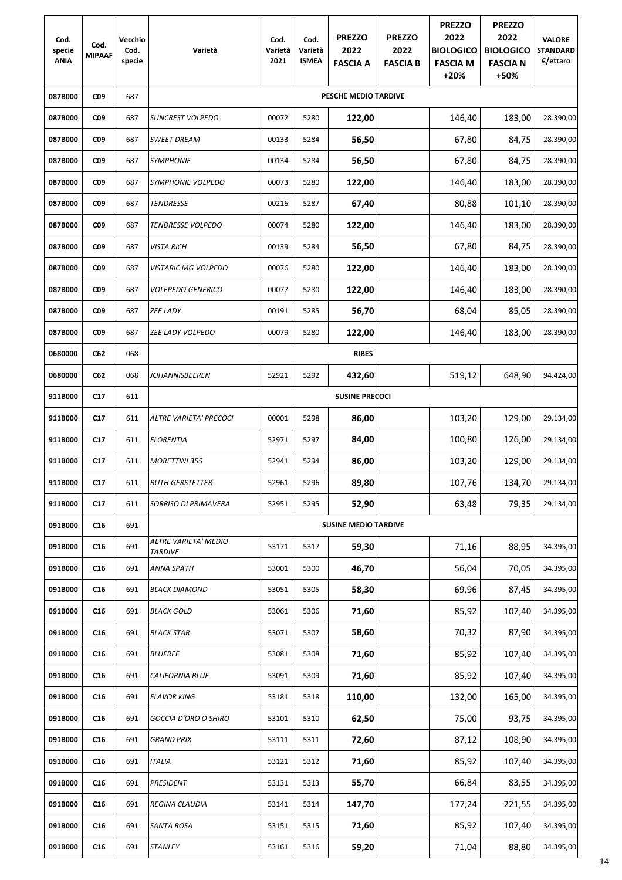| Cod.<br>specie<br><b>ANIA</b> | Cod.<br><b>MIPAAF</b> | Vecchio<br>Cod.<br>specie | Varietà                                | Cod.<br>Varietà<br>2021 | Cod.<br>Varietà<br><b>ISMEA</b> | <b>PREZZO</b><br>2022<br><b>FASCIA A</b> | <b>PREZZO</b><br>2022<br><b>FASCIA B</b> | <b>PREZZO</b><br>2022<br><b>BIOLOGICO</b><br><b>FASCIA M</b><br>$+20%$ | <b>PREZZO</b><br>2022<br><b>BIOLOGICO</b><br><b>FASCIA N</b><br>+50% | <b>VALORE</b><br><b>STANDARD</b><br>€/ettaro |
|-------------------------------|-----------------------|---------------------------|----------------------------------------|-------------------------|---------------------------------|------------------------------------------|------------------------------------------|------------------------------------------------------------------------|----------------------------------------------------------------------|----------------------------------------------|
| 087B000                       | <b>CO9</b>            | 687                       |                                        |                         |                                 | PESCHE MEDIO TARDIVE                     |                                          |                                                                        |                                                                      |                                              |
| 087B000                       | C <sub>09</sub>       | 687                       | <b>SUNCREST VOLPEDO</b>                | 00072                   | 5280                            | 122,00                                   |                                          | 146,40                                                                 | 183,00                                                               | 28.390,00                                    |
| 087B000                       | CO <sub>9</sub>       | 687                       | <b>SWEET DREAM</b>                     | 00133                   | 5284                            | 56,50                                    |                                          | 67,80                                                                  | 84,75                                                                | 28.390,00                                    |
| 087B000                       | <b>CO9</b>            | 687                       | <b>SYMPHONIE</b>                       | 00134                   | 5284                            | 56,50                                    |                                          | 67,80                                                                  | 84,75                                                                | 28.390,00                                    |
| 087B000                       | C <sub>09</sub>       | 687                       | <b>SYMPHONIE VOLPEDO</b>               | 00073                   | 5280                            | 122,00                                   |                                          | 146,40                                                                 | 183,00                                                               | 28.390,00                                    |
| 087B000                       | <b>CO9</b>            | 687                       | <b>TENDRESSE</b>                       | 00216                   | 5287                            | 67,40                                    |                                          | 80,88                                                                  | 101,10                                                               | 28.390,00                                    |
| 087B000                       | <b>CO9</b>            | 687                       | TENDRESSE VOLPEDO                      | 00074                   | 5280                            | 122,00                                   |                                          | 146,40                                                                 | 183,00                                                               | 28.390,00                                    |
| 087B000                       | <b>CO9</b>            | 687                       | <b>VISTA RICH</b>                      | 00139                   | 5284                            | 56,50                                    |                                          | 67,80                                                                  | 84,75                                                                | 28.390,00                                    |
| 087B000                       | CO <sub>9</sub>       | 687                       | VISTARIC MG VOLPEDO                    | 00076                   | 5280                            | 122,00                                   |                                          | 146,40                                                                 | 183,00                                                               | 28.390,00                                    |
| 087B000                       | C <sub>09</sub>       | 687                       | <b>VOLEPEDO GENERICO</b>               | 00077                   | 5280                            | 122,00                                   |                                          | 146,40                                                                 | 183,00                                                               | 28.390,00                                    |
| 087B000                       | <b>CO9</b>            | 687                       | <b>ZEE LADY</b>                        | 00191                   | 5285                            | 56,70                                    |                                          | 68,04                                                                  | 85,05                                                                | 28.390,00                                    |
| 087B000                       | <b>CO9</b>            | 687                       | <b>ZEE LADY VOLPEDO</b>                | 00079                   | 5280                            | 122,00                                   |                                          | 146,40                                                                 | 183,00                                                               | 28.390,00                                    |
| 0680000                       | C62                   | 068                       |                                        |                         |                                 | <b>RIBES</b>                             |                                          |                                                                        |                                                                      |                                              |
| 0680000                       | C62                   | 068                       | <b>JOHANNISBEEREN</b>                  | 52921                   | 5292                            | 432,60                                   |                                          | 519,12                                                                 | 648,90                                                               | 94.424,00                                    |
| 911B000                       | C17                   | 611                       |                                        |                         |                                 | <b>SUSINE PRECOCI</b>                    |                                          |                                                                        |                                                                      |                                              |
| 911B000                       | C17                   | 611                       | ALTRE VARIETA' PRECOCI                 | 00001                   | 5298                            | 86,00                                    |                                          | 103,20                                                                 | 129,00                                                               | 29.134,00                                    |
| 911B000                       | C17                   | 611                       | <b>FLORENTIA</b>                       | 52971                   | 5297                            | 84,00                                    |                                          | 100,80                                                                 | 126,00                                                               | 29.134,00                                    |
| 911B000                       | C17                   | 611                       | <b>MORETTINI 355</b>                   | 52941                   | 5294                            | 86,00                                    |                                          | 103,20                                                                 | 129,00                                                               | 29.134,00                                    |
| 911B000                       | C17                   | 611                       | <b>RUTH GERSTETTER</b>                 | 52961                   | 5296                            | 89,80                                    |                                          | 107,76                                                                 | 134,70                                                               | 29.134,00                                    |
| 911B000                       | C17                   | 611                       | SORRISO DI PRIMAVERA                   | 52951                   | 5295                            | 52,90                                    |                                          | 63,48                                                                  | 79,35                                                                | 29.134,00                                    |
| 091B000                       | C16                   | 691                       |                                        |                         |                                 | <b>SUSINE MEDIO TARDIVE</b>              |                                          |                                                                        |                                                                      |                                              |
| 091B000                       | C16                   | 691                       | ALTRE VARIETA' MEDIO<br><b>TARDIVE</b> | 53171                   | 5317                            | 59,30                                    |                                          | 71,16                                                                  | 88,95                                                                | 34.395,00                                    |
| 091B000                       | C16                   | 691                       | ANNA SPATH                             | 53001                   | 5300                            | 46,70                                    |                                          | 56,04                                                                  | 70,05                                                                | 34.395,00                                    |
| 091B000                       | C16                   | 691                       | <b>BLACK DIAMOND</b>                   | 53051                   | 5305                            | 58,30                                    |                                          | 69,96                                                                  | 87,45                                                                | 34.395,00                                    |
| 091B000                       | C16                   | 691                       | <b>BLACK GOLD</b>                      | 53061                   | 5306                            | 71,60                                    |                                          | 85,92                                                                  | 107,40                                                               | 34.395,00                                    |
| 091B000                       | C16                   | 691                       | <b>BLACK STAR</b>                      | 53071                   | 5307                            | 58,60                                    |                                          | 70,32                                                                  | 87,90                                                                | 34.395,00                                    |
| 091B000                       | C16                   | 691                       | <b>BLUFREE</b>                         | 53081                   | 5308                            | 71,60                                    |                                          | 85,92                                                                  | 107,40                                                               | 34.395,00                                    |
| 091B000                       | C16                   | 691                       | CALIFORNIA BLUE                        | 53091                   | 5309                            | 71,60                                    |                                          | 85,92                                                                  | 107,40                                                               | 34.395,00                                    |
| 091B000                       | C16                   | 691                       | <b>FLAVOR KING</b>                     | 53181                   | 5318                            | 110,00                                   |                                          | 132,00                                                                 | 165,00                                                               | 34.395,00                                    |
| 091B000                       | C16                   | 691                       | <b>GOCCIA D'ORO O SHIRO</b>            | 53101                   | 5310                            | 62,50                                    |                                          | 75,00                                                                  | 93,75                                                                | 34.395,00                                    |
| 091B000                       | C16                   | 691                       | <b>GRAND PRIX</b>                      | 53111                   | 5311                            | 72,60                                    |                                          | 87,12                                                                  | 108,90                                                               | 34.395,00                                    |
| 091B000                       | C16                   | 691                       | <b>ITALIA</b>                          | 53121                   | 5312                            | 71,60                                    |                                          | 85,92                                                                  | 107,40                                                               | 34.395,00                                    |
| 091B000                       | C16                   | 691                       | <b>PRESIDENT</b>                       | 53131                   | 5313                            | 55,70                                    |                                          | 66,84                                                                  | 83,55                                                                | 34.395,00                                    |
| 091B000                       | C16                   | 691                       | <b>REGINA CLAUDIA</b>                  | 53141                   | 5314                            | 147,70                                   |                                          | 177,24                                                                 | 221,55                                                               | 34.395,00                                    |
| 091B000                       | C16                   | 691                       | SANTA ROSA                             | 53151                   | 5315                            | 71,60                                    |                                          | 85,92                                                                  | 107,40                                                               | 34.395,00                                    |
| 091B000                       | C16                   | 691                       | <b>STANLEY</b>                         | 53161                   | 5316                            | 59,20                                    |                                          | 71,04                                                                  | 88,80                                                                | 34.395,00                                    |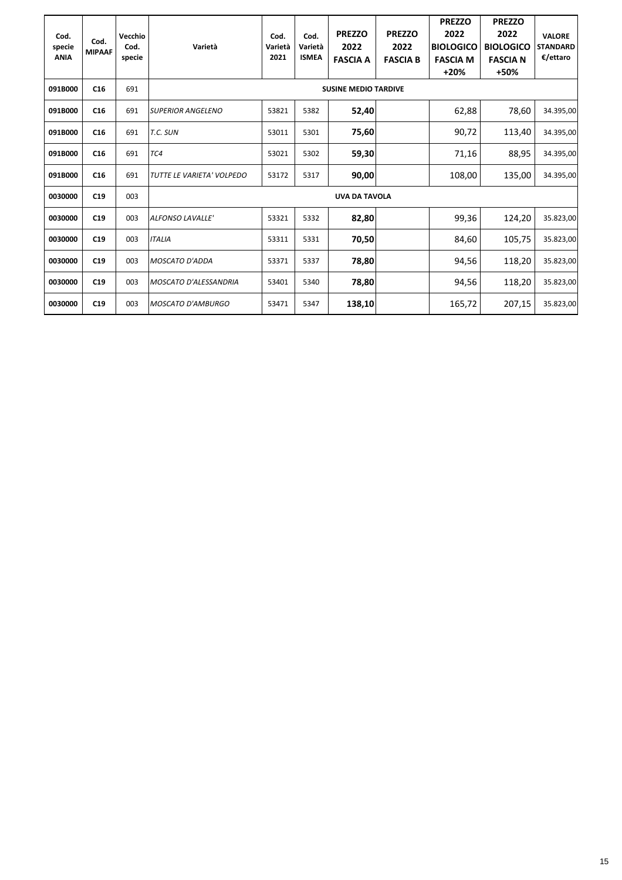| Cod.<br>specie | Cod.<br><b>MIPAAF</b> | Vecchio<br>Cod. | Varietà                   | Cod.<br>Varietà | Cod.<br>Varietà | <b>PREZZO</b><br>2022       | <b>PREZZO</b><br>2022 | <b>PREZZO</b><br>2022<br><b>BIOLOGICO</b> | <b>PREZZO</b><br>2022<br><b>BIOLOGICO</b> | <b>VALORE</b><br><b>STANDARD</b> |
|----------------|-----------------------|-----------------|---------------------------|-----------------|-----------------|-----------------------------|-----------------------|-------------------------------------------|-------------------------------------------|----------------------------------|
| <b>ANIA</b>    |                       | specie          |                           | 2021            | <b>ISMEA</b>    | <b>FASCIA A</b>             | <b>FASCIA B</b>       | <b>FASCIA M</b><br>$+20%$                 | <b>FASCIA N</b><br>+50%                   | €/ettaro                         |
| 091B000        | C16                   | 691             |                           |                 |                 | <b>SUSINE MEDIO TARDIVE</b> |                       |                                           |                                           |                                  |
| 091B000        | C16                   | 691             | <b>SUPERIOR ANGELENO</b>  | 53821           | 5382            | 52,40                       |                       | 62,88                                     | 78,60                                     | 34.395,00                        |
| 091B000        | C <sub>16</sub>       | 691             | T.C. SUN                  | 53011           | 5301            | 75,60                       |                       | 90,72                                     | 113,40                                    | 34.395,00                        |
| 091B000        | C16                   | 691             | TC4                       | 53021           | 5302            | 59,30                       |                       | 71,16                                     | 88,95                                     | 34.395,00                        |
| 091B000        | C16                   | 691             | TUTTE LE VARIETA' VOLPEDO | 53172           | 5317            | 90,00                       |                       | 108,00                                    | 135,00                                    | 34.395,00                        |
| 0030000        | C19                   | 003             |                           |                 |                 | <b>UVA DA TAVOLA</b>        |                       |                                           |                                           |                                  |
| 0030000        | C19                   | 003             | <b>ALFONSO LAVALLE'</b>   | 53321           | 5332            | 82,80                       |                       | 99,36                                     | 124,20                                    | 35.823,00                        |
| 0030000        | C19                   | 003             | <b>ITALIA</b>             | 53311           | 5331            | 70,50                       |                       | 84,60                                     | 105,75                                    | 35.823,00                        |
| 0030000        | C19                   | 003             | MOSCATO D'ADDA            | 53371           | 5337            | 78,80                       |                       | 94,56                                     | 118,20                                    | 35.823,00                        |
| 0030000        | C19                   | 003             | MOSCATO D'ALESSANDRIA     | 53401           | 5340            | 78,80                       |                       | 94,56                                     | 118,20                                    | 35.823,00                        |
| 0030000        | C19                   | 003             | <b>MOSCATO D'AMBURGO</b>  | 53471           | 5347            | 138,10                      |                       | 165,72                                    | 207,15                                    | 35.823,00                        |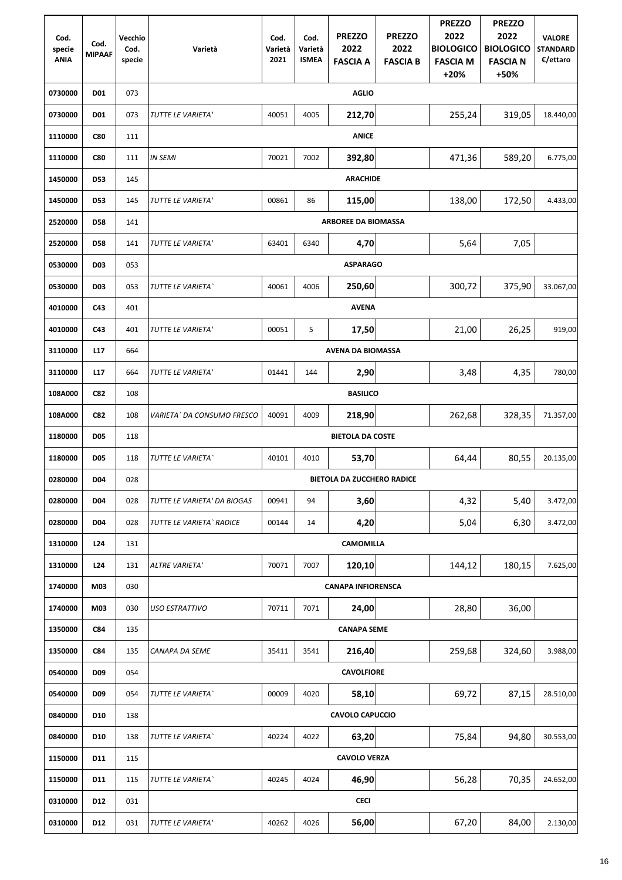| Cod.<br>specie | Cod.            | Vecchio<br>Cod. | Varietà                     | Cod.<br>Varietà | Cod.<br>Varietà | <b>PREZZO</b><br>2022             | <b>PREZZO</b><br>2022 | <b>PREZZO</b><br>2022<br><b>BIOLOGICO</b> | <b>PREZZO</b><br>2022<br><b>BIOLOGICO</b> | <b>VALORE</b><br><b>STANDARD</b> |
|----------------|-----------------|-----------------|-----------------------------|-----------------|-----------------|-----------------------------------|-----------------------|-------------------------------------------|-------------------------------------------|----------------------------------|
| <b>ANIA</b>    | <b>MIPAAF</b>   | specie          |                             | 2021            | <b>ISMEA</b>    | <b>FASCIA A</b>                   | <b>FASCIA B</b>       | <b>FASCIA M</b><br>$+20%$                 | <b>FASCIA N</b><br>+50%                   | €/ettaro                         |
| 0730000        | <b>D01</b>      | 073             |                             |                 |                 | <b>AGLIO</b>                      |                       |                                           |                                           |                                  |
| 0730000        | <b>D01</b>      | 073             | TUTTE LE VARIETA'           | 40051           | 4005            | 212,70                            |                       | 255,24                                    | 319,05                                    | 18.440,00                        |
| 1110000        | <b>C80</b>      | 111             |                             |                 |                 | <b>ANICE</b>                      |                       |                                           |                                           |                                  |
| 1110000        | <b>C80</b>      | 111             | <b>IN SEMI</b>              | 70021           | 7002            | 392,80                            |                       | 471,36                                    | 589,20                                    | 6.775,00                         |
| 1450000        | <b>D53</b>      | 145             |                             |                 |                 | <b>ARACHIDE</b>                   |                       |                                           |                                           |                                  |
| 1450000        | <b>D53</b>      | 145             | TUTTE LE VARIETA'           | 00861           | 86              | 115,00                            |                       | 138,00                                    | 172,50                                    | 4.433,00                         |
| 2520000        | <b>D58</b>      | 141             |                             |                 |                 | <b>ARBOREE DA BIOMASSA</b>        |                       |                                           |                                           |                                  |
| 2520000        | <b>D58</b>      | 141             | TUTTE LE VARIETA'           | 63401           | 6340            | 4,70                              |                       | 5,64                                      | 7,05                                      |                                  |
| 0530000        | <b>D03</b>      | 053             |                             |                 |                 | <b>ASPARAGO</b>                   |                       |                                           |                                           |                                  |
| 0530000        | <b>D03</b>      | 053             | TUTTE LE VARIETA`           | 40061           | 4006            | 250,60                            |                       | 300,72                                    | 375,90                                    | 33.067,00                        |
| 4010000        | C43             | 401             |                             |                 |                 | <b>AVENA</b>                      |                       |                                           |                                           |                                  |
| 4010000        | C43             | 401             | TUTTE LE VARIETA'           | 00051           | 5               | 17,50                             |                       | 21,00                                     | 26,25                                     | 919,00                           |
| 3110000        | L17             | 664             |                             |                 |                 | <b>AVENA DA BIOMASSA</b>          |                       |                                           |                                           |                                  |
| 3110000        | L17             | 664             | TUTTE LE VARIETA'           | 01441           | 144             | 2,90                              |                       | 3,48                                      | 4,35                                      | 780,00                           |
| 108A000        | <b>C82</b>      | 108             |                             |                 |                 | <b>BASILICO</b>                   |                       |                                           |                                           |                                  |
| 108A000        | <b>C82</b>      | 108             | VARIETA` DA CONSUMO FRESCO  | 40091           | 4009            | 218,90                            |                       | 262,68                                    | 328,35                                    | 71.357,00                        |
| 1180000        | <b>D05</b>      | 118             |                             |                 |                 | <b>BIETOLA DA COSTE</b>           |                       |                                           |                                           |                                  |
| 1180000        | <b>D05</b>      | 118             | TUTTE LE VARIETA`           | 40101           | 4010            | 53,70                             |                       | 64,44                                     | 80,55                                     | 20.135,00                        |
| 0280000        | <b>D04</b>      | 028             |                             |                 |                 | <b>BIETOLA DA ZUCCHERO RADICE</b> |                       |                                           |                                           |                                  |
| 0280000        | <b>D04</b>      | 028             | TUTTE LE VARIETA' DA BIOGAS | 00941           | 94              | 3,60                              |                       | 4,32                                      | 5,40                                      | 3.472,00                         |
| 0280000        | <b>D04</b>      | 028             | TUTTE LE VARIETA ` RADICE   | 00144           | 14              | 4,20                              |                       | 5,04                                      | 6,30                                      | 3.472,00                         |
| 1310000        | L <sub>24</sub> | 131             |                             |                 |                 | <b>CAMOMILLA</b>                  |                       |                                           |                                           |                                  |
| 1310000        | L24             | 131             | <b>ALTRE VARIETA'</b>       | 70071           | 7007            | 120,10                            |                       | 144,12                                    | 180,15                                    | 7.625,00                         |
| 1740000        | M03             | 030             |                             |                 |                 | <b>CANAPA INFIORENSCA</b>         |                       |                                           |                                           |                                  |
| 1740000        | M03             | 030             | <b>USO ESTRATTIVO</b>       | 70711           | 7071            | 24,00                             |                       | 28,80                                     | 36,00                                     |                                  |
| 1350000        | C84             | 135             |                             |                 |                 | <b>CANAPA SEME</b>                |                       |                                           |                                           |                                  |
| 1350000        | <b>C84</b>      | 135             | <b>CANAPA DA SEME</b>       | 35411           | 3541            | 216,40                            |                       | 259,68                                    | 324,60                                    | 3.988,00                         |
| 0540000        | <b>D09</b>      | 054             |                             |                 |                 | <b>CAVOLFIORE</b>                 |                       |                                           |                                           |                                  |
| 0540000        | <b>D09</b>      | 054             | TUTTE LE VARIETA`           | 00009           | 4020            | 58,10                             |                       | 69,72                                     | 87,15                                     | 28.510,00                        |
| 0840000        | <b>D10</b>      | 138             |                             |                 |                 | <b>CAVOLO CAPUCCIO</b>            |                       |                                           |                                           |                                  |
| 0840000        | <b>D10</b>      | 138             | TUTTE LE VARIETA`           | 40224           | 4022            | 63,20                             |                       | 75,84                                     | 94,80                                     | 30.553,00                        |
| 1150000        | D11             | 115             |                             |                 |                 | <b>CAVOLO VERZA</b>               |                       |                                           |                                           |                                  |
| 1150000        | D11             | 115             | TUTTE LE VARIETA`           | 40245           | 4024            | 46,90                             |                       | 56,28                                     | 70,35                                     | 24.652,00                        |
| 0310000        | D12             | 031             |                             |                 |                 | <b>CECI</b>                       |                       |                                           |                                           |                                  |
| 0310000        | D12             | 031             | TUTTE LE VARIETA'           | 40262           | 4026            | 56,00                             |                       | 67,20                                     | 84,00                                     | 2.130,00                         |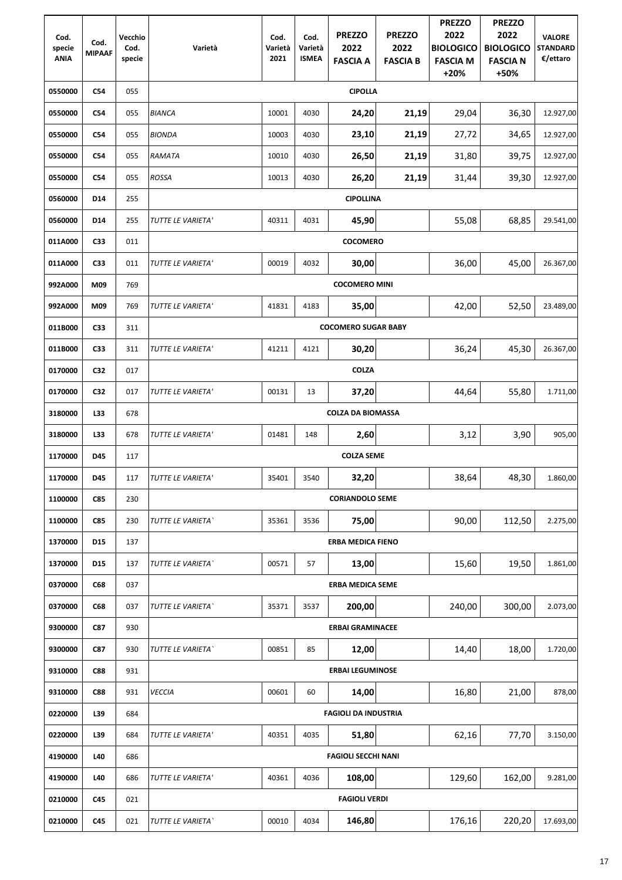| Cod.<br>specie<br><b>ANIA</b> | Cod.<br><b>MIPAAF</b> | Vecchio<br>Cod.<br>specie | Varietà           | Cod.<br>Varietà<br>2021 | Cod.<br>Varietà<br><b>ISMEA</b> | <b>PREZZO</b><br>2022<br><b>FASCIA A</b> | <b>PREZZO</b><br>2022<br><b>FASCIA B</b> | <b>PREZZO</b><br>2022<br><b>BIOLOGICO</b><br><b>FASCIA M</b> | <b>PREZZO</b><br>2022<br><b>BIOLOGICO</b><br><b>FASCIA N</b> | <b>VALORE</b><br><b>STANDARD</b><br>€/ettaro |
|-------------------------------|-----------------------|---------------------------|-------------------|-------------------------|---------------------------------|------------------------------------------|------------------------------------------|--------------------------------------------------------------|--------------------------------------------------------------|----------------------------------------------|
| 0550000                       | C54                   | 055                       |                   |                         |                                 | <b>CIPOLLA</b>                           |                                          | $+20%$                                                       | +50%                                                         |                                              |
| 0550000                       | <b>C54</b>            | 055                       | <b>BIANCA</b>     | 10001                   | 4030                            | 24,20                                    | 21,19                                    | 29,04                                                        | 36,30                                                        | 12.927,00                                    |
| 0550000                       | C54                   | 055                       | <b>BIONDA</b>     | 10003                   | 4030                            | 23,10                                    | 21,19                                    | 27,72                                                        | 34,65                                                        | 12.927,00                                    |
| 0550000                       | C54                   | 055                       | RAMATA            | 10010                   | 4030                            | 26,50                                    | 21,19                                    | 31,80                                                        | 39,75                                                        | 12.927,00                                    |
| 0550000                       | C54                   | 055                       | <b>ROSSA</b>      | 10013                   | 4030                            | 26,20                                    | 21,19                                    | 31,44                                                        | 39,30                                                        | 12.927,00                                    |
| 0560000                       | D14                   | 255                       |                   |                         |                                 | <b>CIPOLLINA</b>                         |                                          |                                                              |                                                              |                                              |
| 0560000                       | D14                   | 255                       | TUTTE LE VARIETA' | 40311                   | 4031                            | 45,90                                    |                                          | 55,08                                                        | 68,85                                                        | 29.541,00                                    |
| 011A000                       | C33                   | 011                       |                   |                         |                                 | <b>COCOMERO</b>                          |                                          |                                                              |                                                              |                                              |
| 011A000                       | C33                   | 011                       | TUTTE LE VARIETA' | 00019                   | 4032                            | 30,00                                    |                                          | 36,00                                                        | 45,00                                                        | 26.367,00                                    |
| 992A000                       | M09                   | 769                       |                   |                         |                                 | <b>COCOMERO MINI</b>                     |                                          |                                                              |                                                              |                                              |
| 992A000                       | M09                   | 769                       | TUTTE LE VARIETA' | 41831                   | 4183                            | 35,00                                    |                                          | 42,00                                                        | 52,50                                                        | 23.489,00                                    |
| 011B000                       | C <sub>33</sub>       | 311                       |                   |                         |                                 | <b>COCOMERO SUGAR BABY</b>               |                                          |                                                              |                                                              |                                              |
| 011B000                       | C33                   | 311                       | TUTTE LE VARIETA' | 41211                   | 4121                            | 30,20                                    |                                          | 36,24                                                        | 45,30                                                        | 26.367,00                                    |
| 0170000                       | C32                   | 017                       |                   |                         |                                 | <b>COLZA</b>                             |                                          |                                                              |                                                              |                                              |
| 0170000                       | C32                   | 017                       | TUTTE LE VARIETA' | 00131                   | 13                              | 37,20                                    |                                          | 44,64                                                        | 55,80                                                        | 1.711,00                                     |
| 3180000                       | L33                   | 678                       |                   |                         |                                 | <b>COLZA DA BIOMASSA</b>                 |                                          |                                                              |                                                              |                                              |
| 3180000                       | L33                   | 678                       | TUTTE LE VARIETA' | 01481                   | 148                             | 2,60                                     |                                          | 3,12                                                         | 3,90                                                         | 905,00                                       |
| 1170000                       | D45                   | 117                       |                   |                         |                                 | <b>COLZA SEME</b>                        |                                          |                                                              |                                                              |                                              |
| 1170000                       | <b>D45</b>            | 117                       | TUTTE LE VARIETA' | 35401                   | 3540                            | 32,20                                    |                                          | 38,64                                                        | 48,30                                                        | 1.860,00                                     |
| 1100000                       | <b>C85</b>            | 230                       |                   |                         |                                 | <b>CORIANDOLO SEME</b>                   |                                          |                                                              |                                                              |                                              |
| 1100000                       | <b>C85</b>            | 230                       | TUTTE LE VARIETA` | 35361                   | 3536                            | 75,00                                    |                                          | 90,00                                                        | 112,50                                                       | 2.275,00                                     |
| 1370000                       | <b>D15</b>            | 137                       |                   |                         |                                 | <b>ERBA MEDICA FIENO</b>                 |                                          |                                                              |                                                              |                                              |
| 1370000                       | D <sub>15</sub>       | 137                       | TUTTE LE VARIETA` | 00571                   | 57                              | 13,00                                    |                                          | 15,60                                                        | 19,50                                                        | 1.861,00                                     |
| 0370000                       | C68                   | 037                       |                   |                         |                                 | <b>ERBA MEDICA SEME</b>                  |                                          |                                                              |                                                              |                                              |
| 0370000                       | <b>C68</b>            | 037                       | TUTTE LE VARIETA` | 35371                   | 3537                            | 200,00                                   |                                          | 240,00                                                       | 300,00                                                       | 2.073,00                                     |
| 9300000                       | C87                   | 930                       |                   |                         |                                 | <b>ERBAI GRAMINACEE</b>                  |                                          |                                                              |                                                              |                                              |
| 9300000                       | C87                   | 930                       | TUTTE LE VARIETA` | 00851                   | 85                              | 12,00                                    |                                          | 14,40                                                        | 18,00                                                        | 1.720,00                                     |
| 9310000                       | <b>C88</b>            | 931                       |                   |                         |                                 | <b>ERBAI LEGUMINOSE</b>                  |                                          |                                                              |                                                              |                                              |
| 9310000                       | <b>C88</b>            | 931                       | <b>VECCIA</b>     | 00601                   | 60                              | 14,00                                    |                                          | 16,80                                                        | 21,00                                                        | 878,00                                       |
| 0220000                       | L39                   | 684                       |                   |                         |                                 | <b>FAGIOLI DA INDUSTRIA</b>              |                                          |                                                              |                                                              |                                              |
| 0220000                       | L39                   | 684                       | TUTTE LE VARIETA' | 40351                   | 4035                            | 51,80                                    |                                          | 62,16                                                        | 77,70                                                        | 3.150,00                                     |
| 4190000                       | L40                   | 686                       |                   |                         |                                 | <b>FAGIOLI SECCHI NANI</b>               |                                          |                                                              |                                                              |                                              |
| 4190000                       | L40                   | 686                       | TUTTE LE VARIETA' | 40361                   | 4036                            | 108,00                                   |                                          | 129,60                                                       | 162,00                                                       | 9.281,00                                     |
| 0210000                       | C45                   | 021                       |                   |                         |                                 | <b>FAGIOLI VERDI</b>                     |                                          |                                                              |                                                              |                                              |
| 0210000                       | C45                   | 021                       | TUTTE LE VARIETA` | 00010                   | 4034                            | 146,80                                   |                                          | 176,16                                                       | 220,20                                                       | 17.693,00                                    |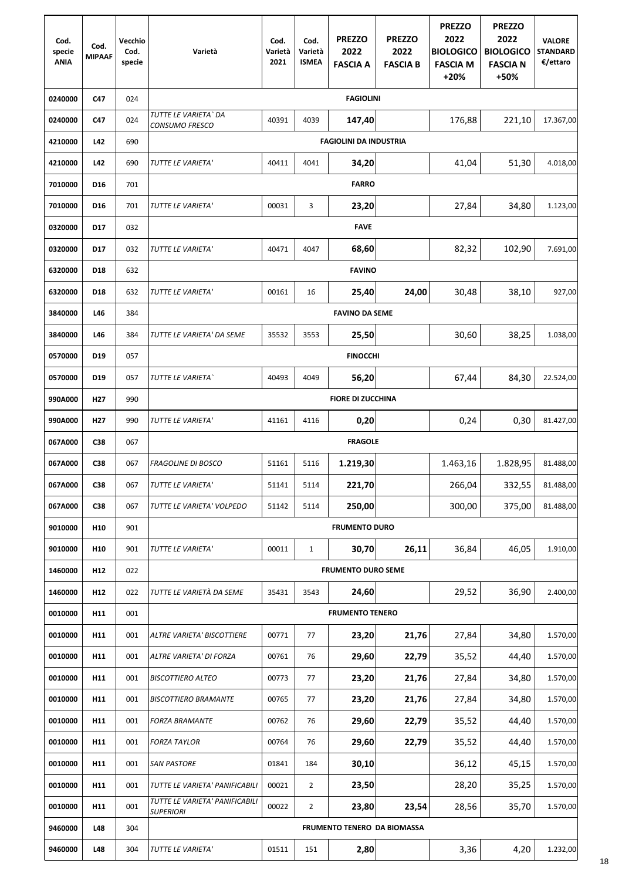| Cod.<br>specie<br><b>ANIA</b> | Cod.<br><b>MIPAAF</b> | Vecchio<br>Cod.<br>specie | Varietà                                            | Cod.<br>Varietà<br>2021 | Cod.<br>Varietà<br><b>ISMEA</b> | <b>PREZZO</b><br>2022<br><b>FASCIA A</b> | <b>PREZZO</b><br>2022<br><b>FASCIA B</b> | <b>PREZZO</b><br>2022<br><b>BIOLOGICO</b><br><b>FASCIA M</b><br>$+20%$ | <b>PREZZO</b><br>2022<br><b>BIOLOGICO</b><br><b>FASCIA N</b><br>+50% | <b>VALORE</b><br><b>STANDARD</b><br>€/ettaro |
|-------------------------------|-----------------------|---------------------------|----------------------------------------------------|-------------------------|---------------------------------|------------------------------------------|------------------------------------------|------------------------------------------------------------------------|----------------------------------------------------------------------|----------------------------------------------|
| 0240000                       | C47                   | 024                       |                                                    |                         |                                 | <b>FAGIOLINI</b>                         |                                          |                                                                        |                                                                      |                                              |
| 0240000                       | C47                   | 024                       | TUTTE LE VARIETA ` DA<br>CONSUMO FRESCO            | 40391                   | 4039                            | 147,40                                   |                                          | 176,88                                                                 | 221,10                                                               | 17.367,00                                    |
| 4210000                       | L42                   | 690                       |                                                    |                         |                                 | <b>FAGIOLINI DA INDUSTRIA</b>            |                                          |                                                                        |                                                                      |                                              |
| 4210000                       | L42                   | 690                       | TUTTE LE VARIETA'                                  | 40411                   | 4041                            | 34,20                                    |                                          | 41,04                                                                  | 51,30                                                                | 4.018,00                                     |
| 7010000                       | D <sub>16</sub>       | 701                       |                                                    |                         |                                 | <b>FARRO</b>                             |                                          |                                                                        |                                                                      |                                              |
| 7010000                       | D <sub>16</sub>       | 701                       | TUTTE LE VARIETA'                                  | 00031                   | 3                               | 23,20                                    |                                          | 27,84                                                                  | 34,80                                                                | 1.123,00                                     |
| 0320000                       | D17                   | 032                       |                                                    |                         |                                 | <b>FAVE</b>                              |                                          |                                                                        |                                                                      |                                              |
| 0320000                       | D17                   | 032                       | TUTTE LE VARIETA'                                  | 40471                   | 4047                            | 68,60                                    |                                          | 82,32                                                                  | 102,90                                                               | 7.691,00                                     |
| 6320000                       | D18                   | 632                       |                                                    |                         |                                 | <b>FAVINO</b>                            |                                          |                                                                        |                                                                      |                                              |
| 6320000                       | D18                   | 632                       | TUTTE LE VARIETA'                                  | 00161                   | 16                              | 25,40                                    | 24,00                                    | 30,48                                                                  | 38,10                                                                | 927,00                                       |
| 3840000                       | L46                   | 384                       |                                                    |                         |                                 | <b>FAVINO DA SEME</b>                    |                                          |                                                                        |                                                                      |                                              |
| 3840000                       | L46                   | 384                       | TUTTE LE VARIETA' DA SEME                          | 35532                   | 3553                            | 25,50                                    |                                          | 30,60                                                                  | 38,25                                                                | 1.038,00                                     |
| 0570000                       | D19                   | 057                       |                                                    |                         |                                 | <b>FINOCCHI</b>                          |                                          |                                                                        |                                                                      |                                              |
| 0570000                       | D <sub>19</sub>       | 057                       | <i>TUTTE LE VARIETA</i>                            | 40493                   | 4049                            | 56,20                                    |                                          | 67,44                                                                  | 84,30                                                                | 22.524,00                                    |
| 990A000                       | H <sub>27</sub>       | 990                       |                                                    |                         |                                 | <b>FIORE DI ZUCCHINA</b>                 |                                          |                                                                        |                                                                      |                                              |
| 990A000                       | H <sub>27</sub>       | 990                       | TUTTE LE VARIETA'                                  | 41161                   | 4116                            | 0,20                                     |                                          | 0,24                                                                   | 0,30                                                                 | 81.427,00                                    |
| 067A000                       | C38                   | 067                       |                                                    |                         |                                 | <b>FRAGOLE</b>                           |                                          |                                                                        |                                                                      |                                              |
| 067A000                       | C38                   | 067                       | <b>FRAGOLINE DI BOSCO</b>                          | 51161                   | 5116                            | 1.219,30                                 |                                          | 1.463,16                                                               | 1.828,95                                                             | 81.488,00                                    |
| 067A000                       | C38                   | 067                       | TUTTE LE VARIETA'                                  | 51141                   | 5114                            | 221,70                                   |                                          | 266,04                                                                 | 332,55                                                               | 81.488,00                                    |
| 067A000                       | C38                   | 067                       | TUTTE LE VARIETA' VOLPEDO                          | 51142                   | 5114                            | 250,00                                   |                                          | 300,00                                                                 | 375,00                                                               | 81.488,00                                    |
| 9010000                       | H <sub>10</sub>       | 901                       |                                                    |                         |                                 | <b>FRUMENTO DURO</b>                     |                                          |                                                                        |                                                                      |                                              |
| 9010000                       | H <sub>10</sub>       | 901                       | TUTTE LE VARIETA'                                  | 00011                   | $\mathbf{1}$                    | 30,70                                    | 26,11                                    | 36,84                                                                  | 46,05                                                                | 1.910,00                                     |
| 1460000                       | H12                   | 022                       |                                                    |                         |                                 | <b>FRUMENTO DURO SEME</b>                |                                          |                                                                        |                                                                      |                                              |
| 1460000                       | H12                   | 022                       | TUTTE LE VARIETÀ DA SEME                           | 35431                   | 3543                            | 24,60                                    |                                          | 29,52                                                                  | 36,90                                                                | 2.400,00                                     |
| 0010000                       | H11                   | 001                       |                                                    |                         |                                 | <b>FRUMENTO TENERO</b>                   |                                          |                                                                        |                                                                      |                                              |
| 0010000                       | H11                   | 001                       | ALTRE VARIETA' BISCOTTIERE                         | 00771                   | 77                              | 23,20                                    | 21,76                                    | 27,84                                                                  | 34,80                                                                | 1.570,00                                     |
| 0010000                       | H11                   | 001                       | ALTRE VARIETA' DI FORZA                            | 00761                   | 76                              | 29,60                                    | 22,79                                    | 35,52                                                                  | 44,40                                                                | 1.570,00                                     |
| 0010000                       | H11                   | 001                       | <b>BISCOTTIERO ALTEO</b>                           | 00773                   | 77                              | 23,20                                    | 21,76                                    | 27,84                                                                  | 34,80                                                                | 1.570,00                                     |
| 0010000                       | H11                   | 001                       | <b>BISCOTTIERO BRAMANTE</b>                        | 00765                   | 77                              | 23,20                                    | 21,76                                    | 27,84                                                                  | 34,80                                                                | 1.570,00                                     |
| 0010000                       | H11                   | 001                       | <b>FORZA BRAMANTE</b>                              | 00762                   | 76                              | 29,60                                    | 22,79                                    | 35,52                                                                  | 44,40                                                                | 1.570,00                                     |
| 0010000                       | H11                   | 001                       | <b>FORZA TAYLOR</b>                                | 00764                   | 76                              | 29,60                                    | 22,79                                    | 35,52                                                                  | 44,40                                                                | 1.570,00                                     |
| 0010000                       | H11                   | 001                       | <b>SAN PASTORE</b>                                 | 01841                   | 184                             | 30,10                                    |                                          | 36,12                                                                  | 45,15                                                                | 1.570,00                                     |
| 0010000                       | H11                   | 001                       | TUTTE LE VARIETA' PANIFICABILI                     | 00021                   | $\overline{2}$                  | 23,50                                    |                                          | 28,20                                                                  | 35,25                                                                | 1.570,00                                     |
| 0010000                       | H11                   | 001                       | TUTTE LE VARIETA' PANIFICABILI<br><b>SUPERIORI</b> | 00022                   | $\overline{2}$                  | 23,80                                    | 23,54                                    | 28,56                                                                  | 35,70                                                                | 1.570,00                                     |
| 9460000                       | L48                   | 304                       |                                                    |                         |                                 |                                          | FRUMENTO TENERO DA BIOMASSA              |                                                                        |                                                                      |                                              |
| 9460000                       | L48                   | 304                       | TUTTE LE VARIETA'                                  | 01511                   | 151                             | 2,80                                     |                                          | 3,36                                                                   | 4,20                                                                 | 1.232,00                                     |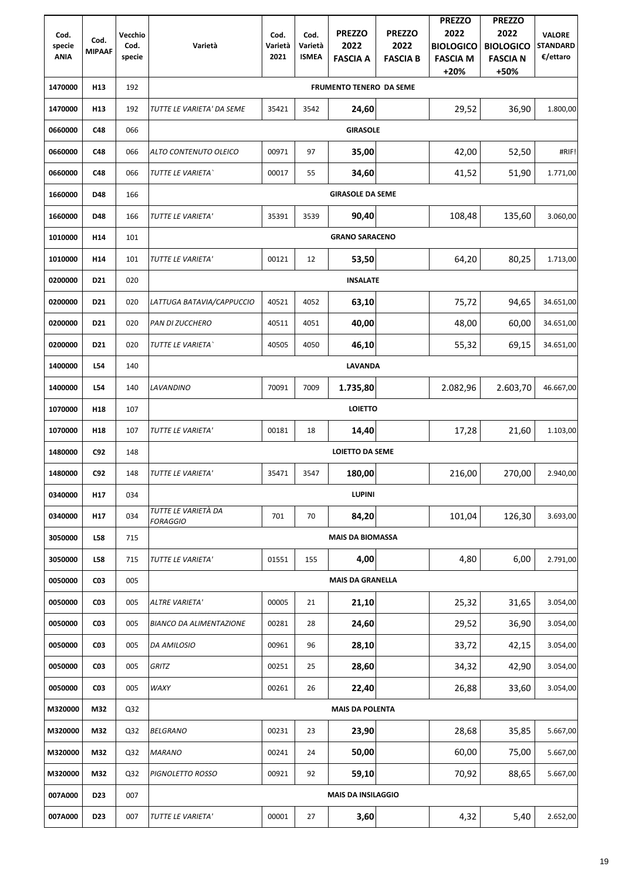|                       |                 |                 |                                        |                 |                         |                                |                 | <b>PREZZO</b>             | <b>PREZZO</b>           |                             |
|-----------------------|-----------------|-----------------|----------------------------------------|-----------------|-------------------------|--------------------------------|-----------------|---------------------------|-------------------------|-----------------------------|
| Cod.                  | Cod.            | Vecchio         |                                        | Cod.            | Cod.                    | <b>PREZZO</b>                  | <b>PREZZO</b>   | 2022                      | 2022                    | <b>VALORE</b>               |
| specie<br><b>ANIA</b> | <b>MIPAAF</b>   | Cod.<br>specie  | Varietà                                | Varietà<br>2021 | Varietà<br><b>ISMEA</b> | 2022                           | 2022            | <b>BIOLOGICO</b>          | <b>BIOLOGICO</b>        | <b>STANDARD</b><br>€/ettaro |
|                       |                 |                 |                                        |                 |                         | <b>FASCIA A</b>                | <b>FASCIA B</b> | <b>FASCIA M</b><br>$+20%$ | <b>FASCIA N</b><br>+50% |                             |
| 1470000               | H <sub>13</sub> | 192             |                                        |                 |                         | <b>FRUMENTO TENERO DA SEME</b> |                 |                           |                         |                             |
| 1470000               | H <sub>13</sub> | 192             | TUTTE LE VARIETA' DA SEME              | 35421           | 3542                    | 24,60                          |                 | 29,52                     | 36,90                   | 1.800,00                    |
| 0660000               | <b>C48</b>      | 066             |                                        |                 |                         | <b>GIRASOLE</b>                |                 |                           |                         |                             |
| 0660000               | C48             | 066             | ALTO CONTENUTO OLEICO                  | 00971           | 97                      | 35,00                          |                 | 42,00                     | 52,50                   | #RIF!                       |
| 0660000               | <b>C48</b>      | 066             | TUTTE LE VARIETA`                      | 00017           | 55                      | 34,60                          |                 | 41,52                     | 51,90                   | 1.771,00                    |
| 1660000               | <b>D48</b>      | 166             |                                        |                 |                         | <b>GIRASOLE DA SEME</b>        |                 |                           |                         |                             |
|                       | D48             |                 |                                        |                 |                         |                                |                 |                           |                         |                             |
| 1660000               |                 | 166             | TUTTE LE VARIETA'                      | 35391           | 3539                    | 90,40                          |                 | 108,48                    | 135,60                  | 3.060,00                    |
| 1010000               | H14             | 101             |                                        |                 |                         | <b>GRANO SARACENO</b>          |                 |                           |                         |                             |
| 1010000               | H14             | 101             | TUTTE LE VARIETA'                      | 00121           | 12                      | 53,50                          |                 | 64,20                     | 80,25                   | 1.713,00                    |
| 0200000               | D21             | 020             |                                        |                 |                         | <b>INSALATE</b>                |                 |                           |                         |                             |
| 0200000               | D <sub>21</sub> | 020             | LATTUGA BATAVIA/CAPPUCCIO              | 40521           | 4052                    | 63,10                          |                 | 75,72                     | 94,65                   | 34.651,00                   |
| 0200000               | D <sub>21</sub> | 020             | PAN DI ZUCCHERO                        | 40511           | 4051                    | 40,00                          |                 | 48,00                     | 60,00                   | 34.651,00                   |
| 0200000               | D <sub>21</sub> | 020             | TUTTE LE VARIETA`                      | 40505           | 4050                    | 46,10                          |                 | 55,32                     | 69,15                   | 34.651,00                   |
| 1400000               | L54             | 140             |                                        |                 |                         | <b>LAVANDA</b>                 |                 |                           |                         |                             |
| 1400000               | L54             | 140             | <b>LAVANDINO</b>                       | 70091           | 7009                    | 1.735,80                       |                 | 2.082,96                  | 2.603,70                | 46.667,00                   |
| 1070000               | H <sub>18</sub> | 107             |                                        |                 |                         | <b>LOIETTO</b>                 |                 |                           |                         |                             |
| 1070000               | H <sub>18</sub> | 107             | TUTTE LE VARIETA'                      | 00181           | 18                      | 14,40                          |                 | 17,28                     | 21,60                   | 1.103,00                    |
| 1480000               | C92             | 148             |                                        |                 |                         | <b>LOIETTO DA SEME</b>         |                 |                           |                         |                             |
| 1480000               | C92             | 148             | TUTTE LE VARIETA'                      | 35471           | 3547                    | 180,00                         |                 | 216,00                    | 270,00                  | 2.940,00                    |
| 0340000               | H <sub>17</sub> | 034             |                                        |                 |                         | <b>LUPINI</b>                  |                 |                           |                         |                             |
| 0340000               | H <sub>17</sub> | 034             | TUTTE LE VARIETÀ DA<br><b>FORAGGIO</b> | 701             | 70                      | 84,20                          |                 | 101,04                    | 126,30                  | 3.693,00                    |
| 3050000               | L58             | 715             |                                        |                 |                         | <b>MAIS DA BIOMASSA</b>        |                 |                           |                         |                             |
| 3050000               | L58             | 715             | TUTTE LE VARIETA'                      | 01551           | 155                     | 4,00                           |                 | 4,80                      | 6,00                    | 2.791,00                    |
| 0050000               | C <sub>03</sub> | 005             |                                        |                 |                         | <b>MAIS DA GRANELLA</b>        |                 |                           |                         |                             |
| 0050000               | CO <sub>3</sub> | 005             | <b>ALTRE VARIETA'</b>                  | 00005           | 21                      | 21,10                          |                 | 25,32                     | 31,65                   | 3.054,00                    |
| 0050000               | C <sub>03</sub> | 005             | <b>BIANCO DA ALIMENTAZIONE</b>         | 00281           | 28                      | 24,60                          |                 | 29,52                     | 36,90                   | 3.054,00                    |
| 0050000               | C <sub>03</sub> | 005             | <b>DA AMILOSIO</b>                     | 00961           | 96                      | 28,10                          |                 | 33,72                     | 42,15                   | 3.054,00                    |
| 0050000               | <b>CO3</b>      | 005             | <b>GRITZ</b>                           | 00251           | 25                      | 28,60                          |                 | 34,32                     | 42,90                   | 3.054,00                    |
| 0050000               | C <sub>03</sub> | 005             | WAXY                                   | 00261           | 26                      | 22,40                          |                 | 26,88                     | 33,60                   | 3.054,00                    |
| M320000               | M32             | Q <sub>32</sub> |                                        |                 |                         | <b>MAIS DA POLENTA</b>         |                 |                           |                         |                             |
| M320000               | M32             | Q <sub>32</sub> | <b>BELGRANO</b>                        | 00231           | 23                      | 23,90                          |                 | 28,68                     | 35,85                   | 5.667,00                    |
| M320000               | M32             | Q32             | <b>MARANO</b>                          | 00241           | 24                      | 50,00                          |                 | 60,00                     | 75,00                   | 5.667,00                    |
| M320000               | M32             | Q <sub>32</sub> | PIGNOLETTO ROSSO                       | 00921           | 92                      | 59,10                          |                 | 70,92                     | 88,65                   | 5.667,00                    |
| 007A000               | D <sub>23</sub> | 007             |                                        |                 |                         | <b>MAIS DA INSILAGGIO</b>      |                 |                           |                         |                             |
| 007A000               | D23             | 007             | TUTTE LE VARIETA'                      | 00001           | 27                      | 3,60                           |                 | 4,32                      | 5,40                    | 2.652,00                    |
|                       |                 |                 |                                        |                 |                         |                                |                 |                           |                         |                             |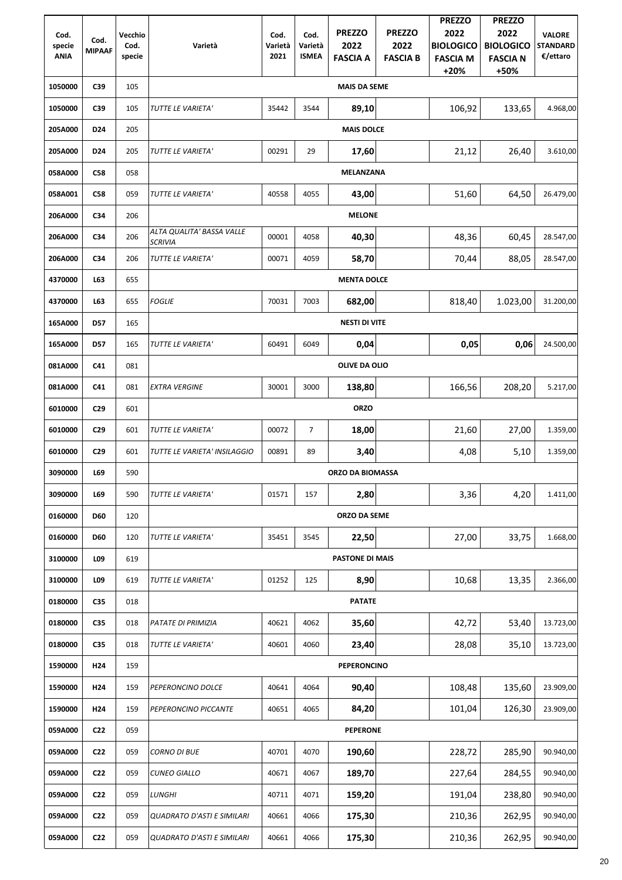|             |                       |         |                                             |         |                |                        |                 | <b>PREZZO</b>    | <b>PREZZO</b>    |                 |
|-------------|-----------------------|---------|---------------------------------------------|---------|----------------|------------------------|-----------------|------------------|------------------|-----------------|
| Cod.        |                       | Vecchio |                                             | Cod.    | Cod.           | <b>PREZZO</b>          | <b>PREZZO</b>   | 2022             | 2022             | <b>VALORE</b>   |
| specie      | Cod.<br><b>MIPAAF</b> | Cod.    | Varietà                                     | Varietà | Varietà        | 2022                   | 2022            | <b>BIOLOGICO</b> | <b>BIOLOGICO</b> | <b>STANDARD</b> |
| <b>ANIA</b> |                       | specie  |                                             | 2021    | <b>ISMEA</b>   | <b>FASCIA A</b>        | <b>FASCIA B</b> | <b>FASCIA M</b>  | <b>FASCIA N</b>  | €/ettaro        |
|             |                       |         |                                             |         |                |                        |                 | $+20%$           | +50%             |                 |
| 1050000     | C39                   | 105     |                                             |         |                | <b>MAIS DA SEME</b>    |                 |                  |                  |                 |
| 1050000     | C39                   | 105     | TUTTE LE VARIETA'                           | 35442   | 3544           | 89,10                  |                 | 106,92           | 133,65           | 4.968,00        |
| 205A000     | D <sub>24</sub>       | 205     |                                             |         |                | <b>MAIS DOLCE</b>      |                 |                  |                  |                 |
| 205A000     | D <sub>24</sub>       | 205     | TUTTE LE VARIETA'                           | 00291   | 29             | 17,60                  |                 | 21,12            | 26,40            | 3.610,00        |
| 058A000     | <b>C58</b>            | 058     |                                             |         |                | <b>MELANZANA</b>       |                 |                  |                  |                 |
| 058A001     | <b>C58</b>            | 059     | TUTTE LE VARIETA'                           | 40558   | 4055           | 43,00                  |                 | 51,60            | 64,50            | 26.479,00       |
| 206A000     | C34                   | 206     |                                             |         |                | <b>MELONE</b>          |                 |                  |                  |                 |
| 206A000     | C34                   | 206     | ALTA QUALITA' BASSA VALLE<br><b>SCRIVIA</b> | 00001   | 4058           | 40,30                  |                 | 48,36            | 60,45            | 28.547,00       |
| 206A000     | C34                   | 206     | TUTTE LE VARIETA'                           | 00071   | 4059           | 58,70                  |                 | 70,44            | 88,05            | 28.547,00       |
| 4370000     | L63                   | 655     |                                             |         |                | <b>MENTA DOLCE</b>     |                 |                  |                  |                 |
| 4370000     | L63                   | 655     | <b>FOGLIE</b>                               | 70031   | 7003           | 682,00                 |                 | 818,40           | 1.023,00         | 31.200,00       |
| 165A000     | <b>D57</b>            | 165     |                                             |         |                | <b>NESTI DI VITE</b>   |                 |                  |                  |                 |
| 165A000     | <b>D57</b>            | 165     | TUTTE LE VARIETA'                           | 60491   | 6049           | 0,04                   |                 | 0,05             | 0,06             | 24.500,00       |
| 081A000     | C <sub>41</sub>       | 081     |                                             |         |                | <b>OLIVE DA OLIO</b>   |                 |                  |                  |                 |
| 081A000     | C41                   | 081     | <b>EXTRA VERGINE</b>                        | 30001   | 3000           | 138,80                 |                 | 166,56           | 208,20           | 5.217,00        |
| 6010000     | C <sub>29</sub>       | 601     |                                             |         |                | <b>ORZO</b>            |                 |                  |                  |                 |
| 6010000     | C <sub>29</sub>       | 601     | TUTTE LE VARIETA'                           | 00072   | $\overline{7}$ | 18,00                  |                 | 21,60            | 27,00            | 1.359,00        |
| 6010000     | C <sub>29</sub>       | 601     | TUTTE LE VARIETA' INSILAGGIO                | 00891   | 89             | 3,40                   |                 | 4,08             | 5,10             | 1.359,00        |
| 3090000     | L69                   | 590     |                                             |         |                | ORZO DA BIOMASSA       |                 |                  |                  |                 |
| 3090000     | L69                   | 590     | TUTTE LE VARIETA'                           | 01571   | 157            | 2,80                   |                 | 3,36             | 4,20             | 1.411,00        |
| 0160000     | <b>D60</b>            | 120     |                                             |         |                | ORZO DA SEME           |                 |                  |                  |                 |
| 0160000     | <b>D60</b>            | 120     | TUTTE LE VARIETA'                           | 35451   | 3545           | 22,50                  |                 | 27,00            | 33,75            | 1.668,00        |
| 3100000     | L09                   | 619     |                                             |         |                | <b>PASTONE DI MAIS</b> |                 |                  |                  |                 |
| 3100000     | L09                   | 619     | TUTTE LE VARIETA'                           | 01252   | 125            | 8,90                   |                 | 10,68            | 13,35            | 2.366,00        |
| 0180000     | C35                   | 018     |                                             |         |                | <b>PATATE</b>          |                 |                  |                  |                 |
| 0180000     | C35                   | 018     | PATATE DI PRIMIZIA                          | 40621   | 4062           | 35,60                  |                 | 42,72            | 53,40            | 13.723,00       |
| 0180000     | C35                   | 018     | TUTTE LE VARIETA'                           | 40601   | 4060           | 23,40                  |                 | 28,08            | 35,10            | 13.723,00       |
| 1590000     | H <sub>24</sub>       | 159     |                                             |         |                | <b>PEPERONCINO</b>     |                 |                  |                  |                 |
| 1590000     | H <sub>24</sub>       | 159     | PEPERONCINO DOLCE                           | 40641   | 4064           | 90,40                  |                 | 108,48           | 135,60           | 23.909,00       |
| 1590000     | H <sub>24</sub>       | 159     | PEPERONCINO PICCANTE                        | 40651   | 4065           | 84,20                  |                 | 101,04           | 126,30           | 23.909,00       |
| 059A000     | C <sub>22</sub>       | 059     |                                             |         |                | <b>PEPERONE</b>        |                 |                  |                  |                 |
| 059A000     | C <sub>22</sub>       | 059     | <b>CORNO DI BUE</b>                         | 40701   | 4070           | 190,60                 |                 | 228,72           | 285,90           | 90.940,00       |
| 059A000     | C <sub>22</sub>       | 059     | <b>CUNEO GIALLO</b>                         | 40671   | 4067           | 189,70                 |                 | 227,64           | 284,55           | 90.940,00       |
| 059A000     | C <sub>22</sub>       | 059     | <b>LUNGHI</b>                               | 40711   | 4071           | 159,20                 |                 | 191,04           | 238,80           | 90.940,00       |
| 059A000     | C <sub>22</sub>       | 059     | <b>QUADRATO D'ASTI E SIMILARI</b>           | 40661   | 4066           | 175,30                 |                 | 210,36           | 262,95           | 90.940,00       |
| 059A000     | C <sub>22</sub>       | 059     | <b>QUADRATO D'ASTI E SIMILARI</b>           | 40661   | 4066           | 175,30                 |                 | 210,36           | 262,95           | 90.940,00       |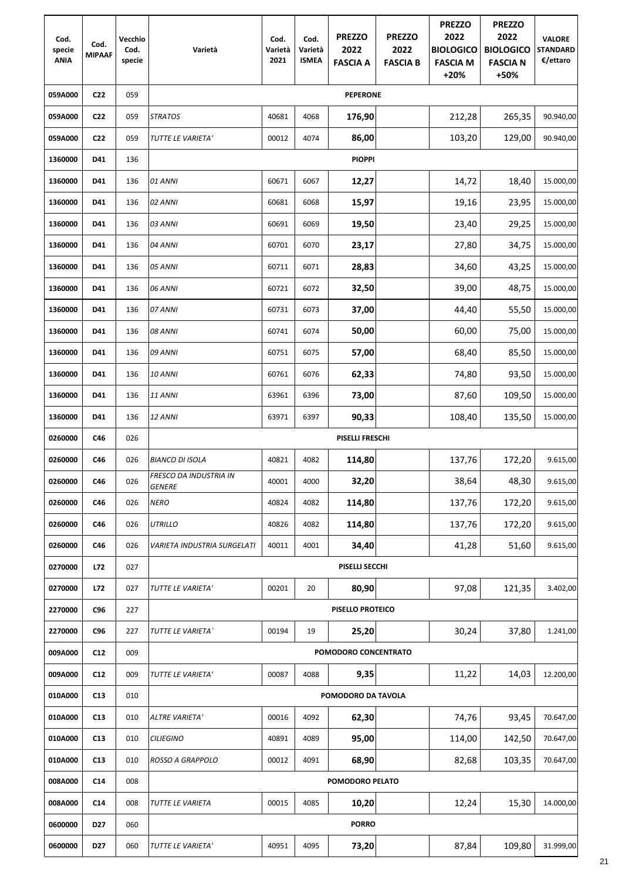| Cod.<br>specie<br><b>ANIA</b> | Cod.<br><b>MIPAAF</b> | Vecchio<br>Cod.<br>specie | Varietà                                 | Cod.<br>Varietà<br>2021 | Cod.<br>Varietà<br><b>ISMEA</b> | <b>PREZZO</b><br>2022<br><b>FASCIA A</b> | <b>PREZZO</b><br>2022<br><b>FASCIA B</b> | <b>PREZZO</b><br>2022<br><b>BIOLOGICO</b><br><b>FASCIA M</b><br>$+20%$ | <b>PREZZO</b><br>2022<br><b>BIOLOGICO</b><br><b>FASCIA N</b><br>+50% | <b>VALORE</b><br><b>STANDARD</b><br>€/ettaro |
|-------------------------------|-----------------------|---------------------------|-----------------------------------------|-------------------------|---------------------------------|------------------------------------------|------------------------------------------|------------------------------------------------------------------------|----------------------------------------------------------------------|----------------------------------------------|
| 059A000                       | C <sub>22</sub>       | 059                       |                                         |                         |                                 | <b>PEPERONE</b>                          |                                          |                                                                        |                                                                      |                                              |
| 059A000                       | C <sub>22</sub>       | 059                       | <b>STRATOS</b>                          | 40681                   | 4068                            | 176,90                                   |                                          | 212,28                                                                 | 265,35                                                               | 90.940,00                                    |
| 059A000                       | C <sub>22</sub>       | 059                       | TUTTE LE VARIETA'                       | 00012                   | 4074                            | 86,00                                    |                                          | 103,20                                                                 | 129,00                                                               | 90.940,00                                    |
| 1360000                       | D41                   | 136                       |                                         |                         |                                 | <b>PIOPPI</b>                            |                                          |                                                                        |                                                                      |                                              |
| 1360000                       | D41                   | 136                       | 01 ANNI                                 | 60671                   | 6067                            | 12,27                                    |                                          | 14,72                                                                  | 18,40                                                                | 15.000,00                                    |
| 1360000                       | D41                   | 136                       | 02 ANNI                                 | 60681                   | 6068                            | 15,97                                    |                                          | 19,16                                                                  | 23,95                                                                | 15.000,00                                    |
| 1360000                       | D41                   | 136                       | 03 ANNI                                 | 60691                   | 6069                            | 19,50                                    |                                          | 23,40                                                                  | 29,25                                                                | 15.000,00                                    |
| 1360000                       | D41                   | 136                       | 04 ANNI                                 | 60701                   | 6070                            | 23,17                                    |                                          | 27,80                                                                  | 34,75                                                                | 15.000,00                                    |
| 1360000                       | D41                   | 136                       | 05 ANNI                                 | 60711                   | 6071                            | 28,83                                    |                                          | 34,60                                                                  | 43,25                                                                | 15.000,00                                    |
| 1360000                       | D41                   | 136                       | 06 ANNI                                 | 60721                   | 6072                            | 32,50                                    |                                          | 39,00                                                                  | 48,75                                                                | 15.000,00                                    |
| 1360000                       | D41                   | 136                       | 07 ANNI                                 | 60731                   | 6073                            | 37,00                                    |                                          | 44,40                                                                  | 55,50                                                                | 15.000,00                                    |
| 1360000                       | D41                   | 136                       | 08 ANNI                                 | 60741                   | 6074                            | 50,00                                    |                                          | 60,00                                                                  | 75,00                                                                | 15.000,00                                    |
| 1360000                       | D41                   | 136                       | 09 ANNI                                 | 60751                   | 6075                            | 57,00                                    |                                          | 68,40                                                                  | 85,50                                                                | 15.000,00                                    |
| 1360000                       | D41                   | 136                       | 10 ANNI                                 | 60761                   | 6076                            | 62,33                                    |                                          | 74,80                                                                  | 93,50                                                                | 15.000,00                                    |
| 1360000                       | D41                   | 136                       | 11 ANNI                                 | 63961                   | 6396                            | 73,00                                    |                                          | 87,60                                                                  | 109,50                                                               | 15.000,00                                    |
| 1360000                       | D41                   | 136                       | 12 ANNI                                 | 63971                   | 6397                            | 90,33                                    |                                          | 108,40                                                                 | 135,50                                                               | 15.000,00                                    |
| 0260000                       | C46                   | 026                       |                                         |                         |                                 | <b>PISELLI FRESCHI</b>                   |                                          |                                                                        |                                                                      |                                              |
| 0260000                       | C46                   | 026                       | <b>BIANCO DI ISOLA</b>                  | 40821                   | 4082                            | 114,80                                   |                                          | 137,76                                                                 | 172,20                                                               | 9.615,00                                     |
| 0260000                       | C46                   | 026                       | FRESCO DA INDUSTRIA IN<br><b>GENERE</b> | 40001                   | 4000                            | 32,20                                    |                                          | 38,64                                                                  | 48,30                                                                | 9.615,00                                     |
| 0260000                       | C46                   | 026                       | <b>NERO</b>                             | 40824                   | 4082                            | 114,80                                   |                                          | 137,76                                                                 | 172,20                                                               | 9.615,00                                     |
| 0260000                       | C46                   | 026                       | <b>UTRILLO</b>                          | 40826                   | 4082                            | 114,80                                   |                                          | 137,76                                                                 | 172,20                                                               | 9.615,00                                     |
| 0260000                       | C46                   | 026                       | <b>VARIETA INDUSTRIA SURGELATI</b>      | 40011                   | 4001                            | 34,40                                    |                                          | 41,28                                                                  | 51,60                                                                | 9.615,00                                     |
| 0270000                       | L72                   | 027                       |                                         |                         |                                 | PISELLI SECCHI                           |                                          |                                                                        |                                                                      |                                              |
| 0270000                       | L72                   | 027                       | TUTTE LE VARIETA'                       | 00201                   | 20                              | 80,90                                    |                                          | 97,08                                                                  | 121,35                                                               | 3.402,00                                     |
| 2270000                       | C <sub>96</sub>       | 227                       |                                         |                         |                                 | PISELLO PROTEICO                         |                                          |                                                                        |                                                                      |                                              |
| 2270000                       | C96                   | 227                       | TUTTE LE VARIETA`                       | 00194                   | 19                              | 25,20                                    |                                          | 30,24                                                                  | 37,80                                                                | 1.241,00                                     |
| 009A000                       | C12                   | 009                       |                                         |                         |                                 | POMODORO CONCENTRATO                     |                                          |                                                                        |                                                                      |                                              |
| 009A000                       | C12                   | 009                       | TUTTE LE VARIETA'                       | 00087                   | 4088                            | 9,35                                     |                                          | 11,22                                                                  | 14,03                                                                | 12.200,00                                    |
| 010A000                       | C13                   | 010                       |                                         |                         |                                 | POMODORO DA TAVOLA                       |                                          |                                                                        |                                                                      |                                              |
| 010A000                       | C13                   | 010                       | <b>ALTRE VARIETA'</b>                   | 00016                   | 4092                            | 62,30                                    |                                          | 74,76                                                                  | 93,45                                                                | 70.647,00                                    |
| 010A000                       | C13                   | 010                       | <b>CILIEGINO</b>                        | 40891                   | 4089                            | 95,00                                    |                                          | 114,00                                                                 | 142,50                                                               | 70.647,00                                    |
| 010A000                       | C13                   | 010                       | ROSSO A GRAPPOLO                        | 00012                   | 4091                            | 68,90                                    |                                          | 82,68                                                                  | 103,35                                                               | 70.647,00                                    |
| 008A000                       | C14                   | 008                       |                                         |                         |                                 | POMODORO PELATO                          |                                          |                                                                        |                                                                      |                                              |
| 008A000                       | C14                   | 008                       | TUTTE LE VARIETA                        | 00015                   | 4085                            | 10,20                                    |                                          | 12,24                                                                  | 15,30                                                                | 14.000,00                                    |
| 0600000                       | D <sub>27</sub>       | 060                       |                                         |                         |                                 | <b>PORRO</b>                             |                                          |                                                                        |                                                                      |                                              |
| 0600000                       | D <sub>27</sub>       | 060                       | TUTTE LE VARIETA'                       | 40951                   | 4095                            | 73,20                                    |                                          | 87,84                                                                  | 109,80                                                               | 31.999,00                                    |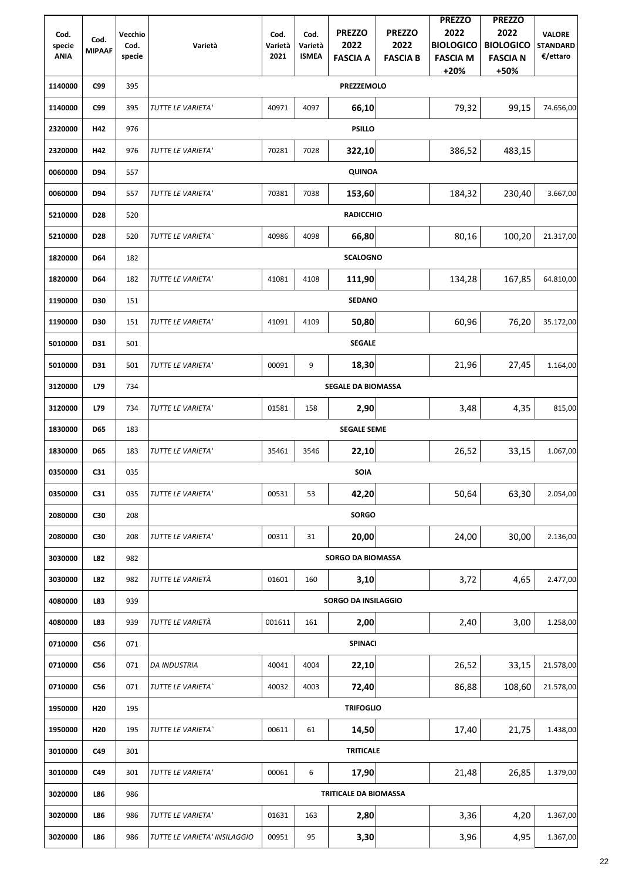|                       |                 |                |                              |                 |                         |                              |                         | <b>PREZZO</b>                       | <b>PREZZO</b>                       |                             |
|-----------------------|-----------------|----------------|------------------------------|-----------------|-------------------------|------------------------------|-------------------------|-------------------------------------|-------------------------------------|-----------------------------|
| Cod.                  | Cod.            | Vecchio        |                              | Cod.            | Cod.                    | <b>PREZZO</b>                | <b>PREZZO</b>           | 2022                                | 2022                                | <b>VALORE</b>               |
| specie<br><b>ANIA</b> | <b>MIPAAF</b>   | Cod.<br>specie | Varietà                      | Varietà<br>2021 | Varietà<br><b>ISMEA</b> | 2022<br><b>FASCIA A</b>      | 2022<br><b>FASCIA B</b> | <b>BIOLOGICO</b><br><b>FASCIA M</b> | <b>BIOLOGICO</b><br><b>FASCIA N</b> | <b>STANDARD</b><br>€/ettaro |
|                       |                 |                |                              |                 |                         |                              |                         | $+20%$                              | +50%                                |                             |
| 1140000               | C99             | 395            |                              |                 |                         | <b>PREZZEMOLO</b>            |                         |                                     |                                     |                             |
| 1140000               | C99             | 395            | TUTTE LE VARIETA'            | 40971           | 4097                    | 66,10                        |                         | 79,32                               | 99,15                               | 74.656,00                   |
| 2320000               | H42             | 976            |                              |                 |                         | <b>PSILLO</b>                |                         |                                     |                                     |                             |
| 2320000               | H42             | 976            | TUTTE LE VARIETA'            | 70281           | 7028                    | 322,10                       |                         | 386,52                              | 483,15                              |                             |
| 0060000               | D94             | 557            |                              |                 |                         | <b>QUINOA</b>                |                         |                                     |                                     |                             |
| 0060000               | D94             | 557            | TUTTE LE VARIETA'            | 70381           | 7038                    | 153,60                       |                         | 184,32                              | 230,40                              | 3.667,00                    |
| 5210000               | D <sub>28</sub> | 520            |                              |                 |                         | <b>RADICCHIO</b>             |                         |                                     |                                     |                             |
| 5210000               | D <sub>28</sub> | 520            | TUTTE LE VARIETA`            | 40986           | 4098                    | 66,80                        |                         | 80,16                               | 100,20                              | 21.317,00                   |
| 1820000               | <b>D64</b>      | 182            |                              |                 |                         | <b>SCALOGNO</b>              |                         |                                     |                                     |                             |
| 1820000               | <b>D64</b>      | 182            | TUTTE LE VARIETA'            | 41081           | 4108                    | 111,90                       |                         | 134,28                              | 167,85                              | 64.810,00                   |
| 1190000               | <b>D30</b>      | 151            |                              |                 |                         | <b>SEDANO</b>                |                         |                                     |                                     |                             |
| 1190000               | <b>D30</b>      | 151            | TUTTE LE VARIETA'            | 41091           | 4109                    | 50,80                        |                         | 60,96                               | 76,20                               | 35.172,00                   |
| 5010000               | <b>D31</b>      | 501            |                              |                 |                         | <b>SEGALE</b>                |                         |                                     |                                     |                             |
| 5010000               | D31             | 501            | TUTTE LE VARIETA'            | 00091           | 9                       | 18,30                        |                         | 21,96                               | 27,45                               | 1.164,00                    |
| 3120000               | L79             | 734            |                              |                 |                         | <b>SEGALE DA BIOMASSA</b>    |                         |                                     |                                     |                             |
| 3120000               | L79             | 734            | TUTTE LE VARIETA'            | 01581           | 158                     | 2,90                         |                         | 3,48                                | 4,35                                | 815,00                      |
| 1830000               | <b>D65</b>      | 183            |                              |                 |                         | <b>SEGALE SEME</b>           |                         |                                     |                                     |                             |
| 1830000               | <b>D65</b>      | 183            | TUTTE LE VARIETA'            | 35461           | 3546                    | 22,10                        |                         | 26,52                               | 33,15                               | 1.067,00                    |
| 0350000               | C <sub>31</sub> | 035            |                              |                 |                         | <b>SOIA</b>                  |                         |                                     |                                     |                             |
| 0350000               | C <sub>31</sub> | 035            | TUTTE LE VARIETA'            | 00531           | 53                      | 42,20                        |                         | 50,64                               | 63,30                               | 2.054,00                    |
| 2080000               | C30             | 208            |                              |                 |                         | <b>SORGO</b>                 |                         |                                     |                                     |                             |
| 2080000               | C30             | 208            | TUTTE LE VARIETA'            | 00311           | 31                      | 20,00                        |                         | 24,00                               | 30,00                               | 2.136,00                    |
| 3030000               | L82             | 982            |                              |                 |                         | <b>SORGO DA BIOMASSA</b>     |                         |                                     |                                     |                             |
| 3030000               | L82             | 982            | TUTTE LE VARIETÀ             | 01601           | 160                     | 3,10                         |                         | 3,72                                | 4,65                                | 2.477,00                    |
| 4080000               | L83             | 939            |                              |                 |                         | <b>SORGO DA INSILAGGIO</b>   |                         |                                     |                                     |                             |
| 4080000               | L83             | 939            | TUTTE LE VARIETÀ             | 001611          | 161                     | 2,00                         |                         | 2,40                                | 3,00                                | 1.258,00                    |
| 0710000               | C56             | 071            |                              |                 |                         | <b>SPINACI</b>               |                         |                                     |                                     |                             |
| 0710000               | C56             | 071            | <b>DA INDUSTRIA</b>          | 40041           | 4004                    | 22,10                        |                         | 26,52                               | 33,15                               | 21.578,00                   |
| 0710000               | C56             | 071            | TUTTE LE VARIETA'            | 40032           | 4003                    | 72,40                        |                         | 86,88                               | 108,60                              | 21.578,00                   |
| 1950000               | H <sub>20</sub> | 195            |                              |                 |                         | <b>TRIFOGLIO</b>             |                         |                                     |                                     |                             |
| 1950000               | H <sub>20</sub> | 195            | TUTTE LE VARIETA             | 00611           | 61                      | 14,50                        |                         | 17,40                               | 21,75                               | 1.438,00                    |
| 3010000               | C49             | 301            |                              |                 |                         | <b>TRITICALE</b>             |                         |                                     |                                     |                             |
| 3010000               | C49             | 301            | TUTTE LE VARIETA'            | 00061           | 6                       | 17,90                        |                         | 21,48                               | 26,85                               | 1.379,00                    |
| 3020000               | L86             | 986            |                              |                 |                         | <b>TRITICALE DA BIOMASSA</b> |                         |                                     |                                     |                             |
| 3020000               | L86             | 986            | TUTTE LE VARIETA'            | 01631           | 163                     | 2,80                         |                         | 3,36                                | 4,20                                | 1.367,00                    |
| 3020000               | L86             | 986            | TUTTE LE VARIETA' INSILAGGIO | 00951           | 95                      | 3,30                         |                         | 3,96                                | 4,95                                | 1.367,00                    |